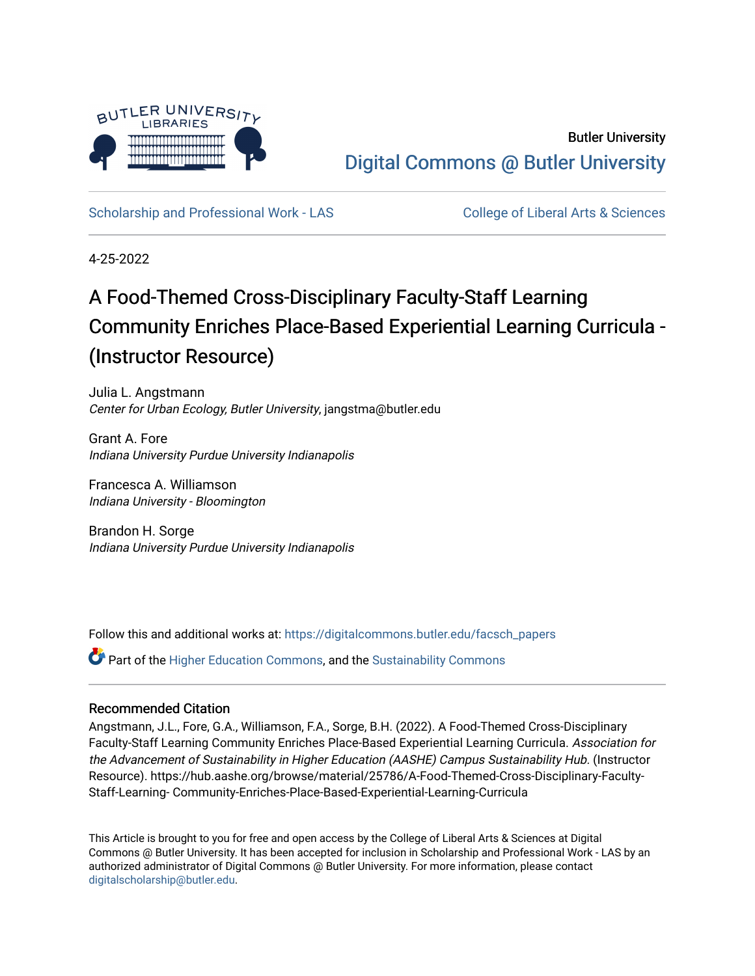

## Butler University [Digital Commons @ Butler University](https://digitalcommons.butler.edu/)

[Scholarship and Professional Work - LAS](https://digitalcommons.butler.edu/facsch_papers) College of Liberal Arts & Sciences

4-25-2022

# A Food-Themed Cross-Disciplinary Faculty-Staff Learning Community Enriches Place-Based Experiential Learning Curricula - (Instructor Resource)

Julia L. Angstmann Center for Urban Ecology, Butler University, jangstma@butler.edu

Grant A. Fore Indiana University Purdue University Indianapolis

Francesca A. Williamson Indiana University - Bloomington

Brandon H. Sorge Indiana University Purdue University Indianapolis

Follow this and additional works at: [https://digitalcommons.butler.edu/facsch\\_papers](https://digitalcommons.butler.edu/facsch_papers?utm_source=digitalcommons.butler.edu%2Ffacsch_papers%2F1415&utm_medium=PDF&utm_campaign=PDFCoverPages)

Part of the [Higher Education Commons,](https://network.bepress.com/hgg/discipline/1245?utm_source=digitalcommons.butler.edu%2Ffacsch_papers%2F1415&utm_medium=PDF&utm_campaign=PDFCoverPages) and the [Sustainability Commons](https://network.bepress.com/hgg/discipline/1031?utm_source=digitalcommons.butler.edu%2Ffacsch_papers%2F1415&utm_medium=PDF&utm_campaign=PDFCoverPages)

#### Recommended Citation

Angstmann, J.L., Fore, G.A., Williamson, F.A., Sorge, B.H. (2022). A Food-Themed Cross-Disciplinary Faculty-Staff Learning Community Enriches Place-Based Experiential Learning Curricula. Association for the Advancement of Sustainability in Higher Education (AASHE) Campus Sustainability Hub. (Instructor Resource). https://hub.aashe.org/browse/material/25786/A-Food-Themed-Cross-Disciplinary-Faculty-Staff-Learning- Community-Enriches-Place-Based-Experiential-Learning-Curricula

This Article is brought to you for free and open access by the College of Liberal Arts & Sciences at Digital Commons @ Butler University. It has been accepted for inclusion in Scholarship and Professional Work - LAS by an authorized administrator of Digital Commons @ Butler University. For more information, please contact [digitalscholarship@butler.edu.](mailto:digitalscholarship@butler.edu)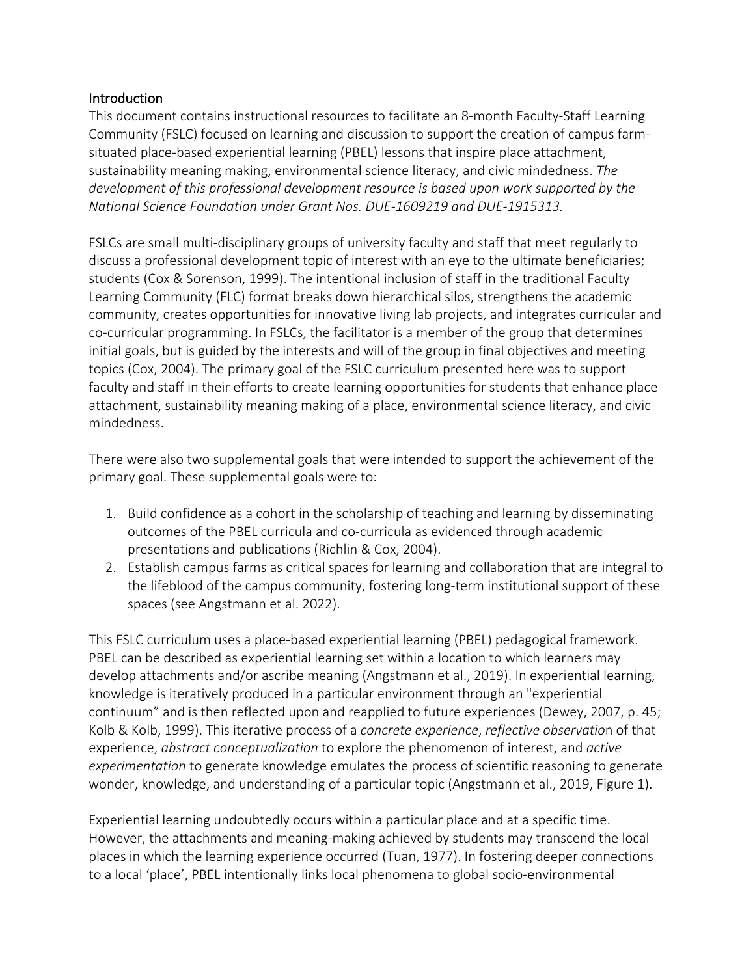#### **Introduction**

This document contains instructional resources to facilitate an 8-month Faculty-Staff Learning Community (FSLC) focused on learning and discussion to support the creation of campus farmsituated place-based experiential learning (PBEL) lessons that inspire place attachment, sustainability meaning making, environmental science literacy, and civic mindedness. *The development of this professional development resource is based upon work supported by the National Science Foundation under Grant Nos. DUE-1609219 and DUE-1915313.*

FSLCs are small multi-disciplinary groups of university faculty and staff that meet regularly to discuss a professional development topic of interest with an eye to the ultimate beneficiaries; students (Cox & Sorenson, 1999). The intentional inclusion of staff in the traditional Faculty Learning Community (FLC) format breaks down hierarchical silos, strengthens the academic community, creates opportunities for innovative living lab projects, and integrates curricular and co-curricular programming. In FSLCs, the facilitator is a member of the group that determines initial goals, but is guided by the interests and will of the group in final objectives and meeting topics (Cox, 2004). The primary goal of the FSLC curriculum presented here was to support faculty and staff in their efforts to create learning opportunities for students that enhance place attachment, sustainability meaning making of a place, environmental science literacy, and civic mindedness.

There were also two supplemental goals that were intended to support the achievement of the primary goal. These supplemental goals were to:

- 1. Build confidence as a cohort in the scholarship of teaching and learning by disseminating outcomes of the PBEL curricula and co-curricula as evidenced through academic presentations and publications (Richlin & Cox, 2004).
- 2. Establish campus farms as critical spaces for learning and collaboration that are integral to the lifeblood of the campus community, fostering long-term institutional support of these spaces (see Angstmann et al. 2022).

This FSLC curriculum uses a place-based experiential learning (PBEL) pedagogical framework. PBEL can be described as experiential learning set within a location to which learners may develop attachments and/or ascribe meaning (Angstmann et al., 2019). In experiential learning, knowledge is iteratively produced in a particular environment through an "experiential continuum" and is then reflected upon and reapplied to future experiences (Dewey, 2007, p. 45; Kolb & Kolb, 1999). This iterative process of a *concrete experience*, *reflective observatio*n of that experience, *abstract conceptualization* to explore the phenomenon of interest, and *active experimentation* to generate knowledge emulates the process of scientific reasoning to generate wonder, knowledge, and understanding of a particular topic (Angstmann et al., 2019, Figure 1).

Experiential learning undoubtedly occurs within a particular place and at a specific time. However, the attachments and meaning-making achieved by students may transcend the local places in which the learning experience occurred (Tuan, 1977). In fostering deeper connections to a local 'place', PBEL intentionally links local phenomena to global socio-environmental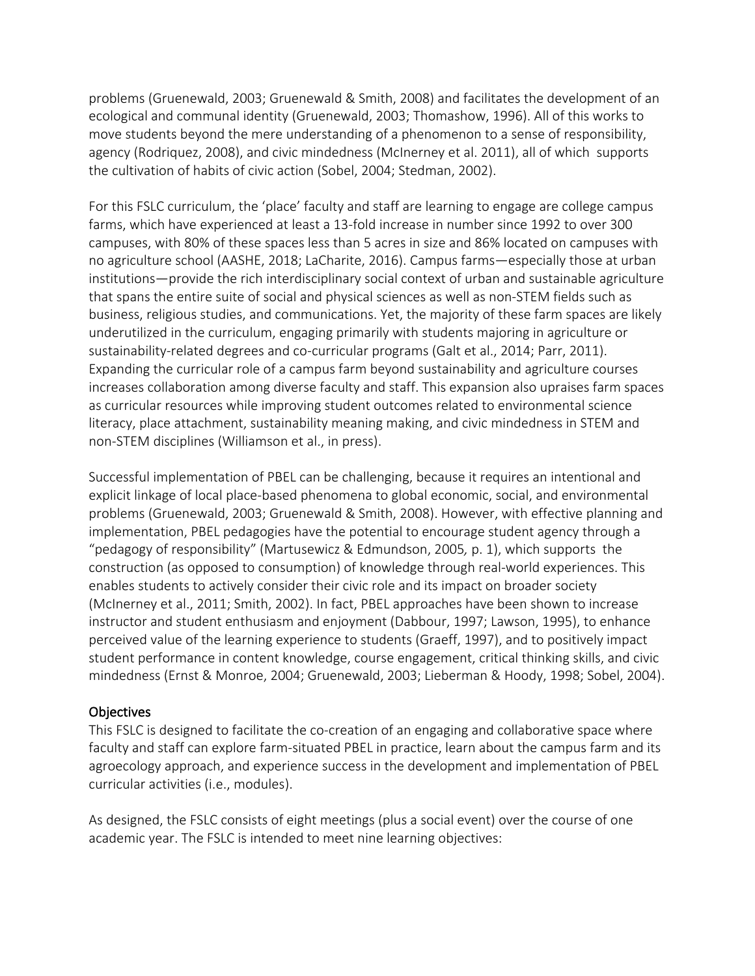problems (Gruenewald, 2003; Gruenewald & Smith, 2008) and facilitates the development of an ecological and communal identity (Gruenewald, 2003; Thomashow, 1996). All of this works to move students beyond the mere understanding of a phenomenon to a sense of responsibility, agency (Rodriquez, 2008), and civic mindedness (McInerney et al. 2011), all of which supports the cultivation of habits of civic action (Sobel, 2004; Stedman, 2002).

For this FSLC curriculum, the 'place' faculty and staff are learning to engage are college campus farms, which have experienced at least a 13-fold increase in number since 1992 to over 300 campuses, with 80% of these spaces less than 5 acres in size and 86% located on campuses with no agriculture school (AASHE, 2018; LaCharite, 2016). Campus farms—especially those at urban institutions—provide the rich interdisciplinary social context of urban and sustainable agriculture that spans the entire suite of social and physical sciences as well as non-STEM fields such as business, religious studies, and communications. Yet, the majority of these farm spaces are likely underutilized in the curriculum, engaging primarily with students majoring in agriculture or sustainability-related degrees and co-curricular programs (Galt et al., 2014; Parr, 2011). Expanding the curricular role of a campus farm beyond sustainability and agriculture courses increases collaboration among diverse faculty and staff. This expansion also upraises farm spaces as curricular resources while improving student outcomes related to environmental science literacy, place attachment, sustainability meaning making, and civic mindedness in STEM and non-STEM disciplines (Williamson et al., in press).

Successful implementation of PBEL can be challenging, because it requires an intentional and explicit linkage of local place-based phenomena to global economic, social, and environmental problems (Gruenewald, 2003; Gruenewald & Smith, 2008). However, with effective planning and implementation, PBEL pedagogies have the potential to encourage student agency through a "pedagogy of responsibility" (Martusewicz & Edmundson, 2005*,* p. 1), which supports the construction (as opposed to consumption) of knowledge through real-world experiences. This enables students to actively consider their civic role and its impact on broader society (McInerney et al., 2011; Smith, 2002). In fact, PBEL approaches have been shown to increase instructor and student enthusiasm and enjoyment (Dabbour, 1997; Lawson, 1995), to enhance perceived value of the learning experience to students (Graeff, 1997), and to positively impact student performance in content knowledge, course engagement, critical thinking skills, and civic mindedness (Ernst & Monroe, 2004; Gruenewald, 2003; Lieberman & Hoody, 1998; Sobel, 2004).

## **Objectives**

This FSLC is designed to facilitate the co-creation of an engaging and collaborative space where faculty and staff can explore farm-situated PBEL in practice, learn about the campus farm and its agroecology approach, and experience success in the development and implementation of PBEL curricular activities (i.e., modules).

As designed, the FSLC consists of eight meetings (plus a social event) over the course of one academic year. The FSLC is intended to meet nine learning objectives: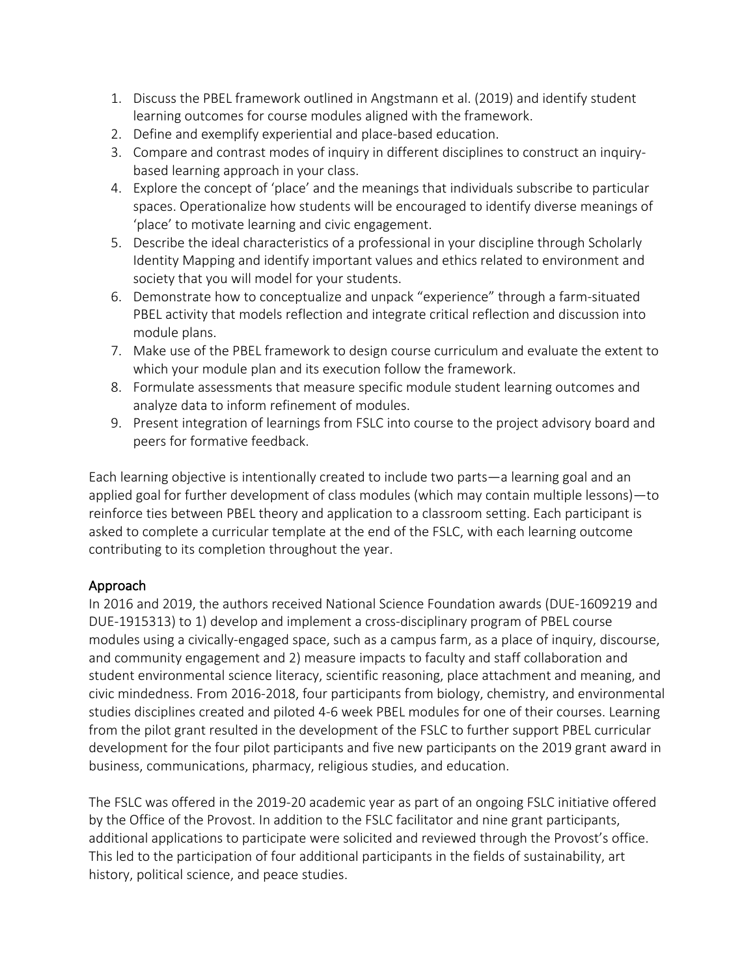- 1. Discuss the PBEL framework outlined in Angstmann et al. (2019) and identify student learning outcomes for course modules aligned with the framework.
- 2. Define and exemplify experiential and place-based education.
- 3. Compare and contrast modes of inquiry in different disciplines to construct an inquirybased learning approach in your class.
- 4. Explore the concept of 'place' and the meanings that individuals subscribe to particular spaces. Operationalize how students will be encouraged to identify diverse meanings of 'place' to motivate learning and civic engagement.
- 5. Describe the ideal characteristics of a professional in your discipline through Scholarly Identity Mapping and identify important values and ethics related to environment and society that you will model for your students.
- 6. Demonstrate how to conceptualize and unpack "experience" through a farm-situated PBEL activity that models reflection and integrate critical reflection and discussion into module plans.
- 7. Make use of the PBEL framework to design course curriculum and evaluate the extent to which your module plan and its execution follow the framework.
- 8. Formulate assessments that measure specific module student learning outcomes and analyze data to inform refinement of modules.
- 9. Present integration of learnings from FSLC into course to the project advisory board and peers for formative feedback.

Each learning objective is intentionally created to include two parts—a learning goal and an applied goal for further development of class modules (which may contain multiple lessons)—to reinforce ties between PBEL theory and application to a classroom setting. Each participant is asked to complete a curricular template at the end of the FSLC, with each learning outcome contributing to its completion throughout the year.

## Approach

In 2016 and 2019, the authors received National Science Foundation awards (DUE-1609219 and DUE-1915313) to 1) develop and implement a cross-disciplinary program of PBEL course modules using a civically-engaged space, such as a campus farm, as a place of inquiry, discourse, and community engagement and 2) measure impacts to faculty and staff collaboration and student environmental science literacy, scientific reasoning, place attachment and meaning, and civic mindedness. From 2016-2018, four participants from biology, chemistry, and environmental studies disciplines created and piloted 4-6 week PBEL modules for one of their courses. Learning from the pilot grant resulted in the development of the FSLC to further support PBEL curricular development for the four pilot participants and five new participants on the 2019 grant award in business, communications, pharmacy, religious studies, and education.

The FSLC was offered in the 2019-20 academic year as part of an ongoing FSLC initiative offered by the Office of the Provost. In addition to the FSLC facilitator and nine grant participants, additional applications to participate were solicited and reviewed through the Provost's office. This led to the participation of four additional participants in the fields of sustainability, art history, political science, and peace studies.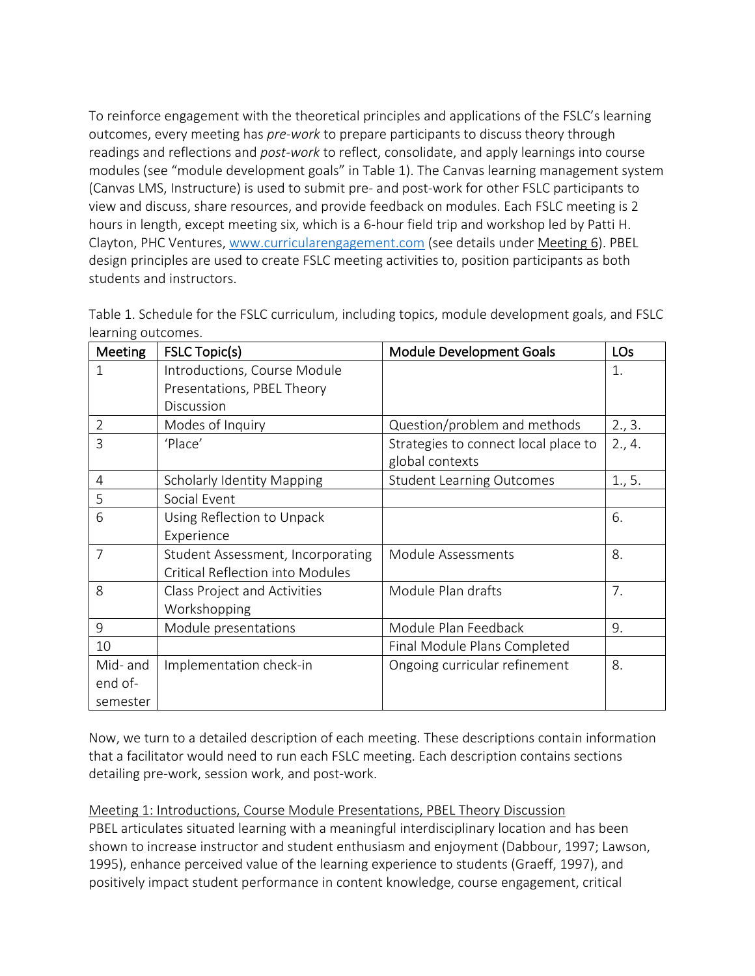To reinforce engagement with the theoretical principles and applications of the FSLC's learning outcomes, every meeting has *pre-work* to prepare participants to discuss theory through readings and reflections and *post-work* to reflect, consolidate, and apply learnings into course modules (see "module development goals" in Table 1). The Canvas learning management system (Canvas LMS, Instructure) is used to submit pre- and post-work for other FSLC participants to view and discuss, share resources, and provide feedback on modules. Each FSLC meeting is 2 hours in length, except meeting six, which is a 6-hour field trip and workshop led by Patti H. Clayton, PHC Ventures, www.curricularengagement.com (see details under Meeting 6). PBEL design principles are used to create FSLC meeting activities to, position participants as both students and instructors.

| <b>Meeting</b> | <b>FSLC Topic(s)</b>                    | <b>Module Development Goals</b>      | LOs    |
|----------------|-----------------------------------------|--------------------------------------|--------|
| 1              | Introductions, Course Module            |                                      | 1.     |
|                | Presentations, PBEL Theory              |                                      |        |
|                | Discussion                              |                                      |        |
| $\overline{2}$ | Modes of Inquiry                        | Question/problem and methods         | 2., 3. |
| 3              | 'Place'                                 | Strategies to connect local place to | 2., 4. |
|                |                                         | global contexts                      |        |
| 4              | <b>Scholarly Identity Mapping</b>       | <b>Student Learning Outcomes</b>     | 1., 5. |
| 5              | Social Event                            |                                      |        |
| 6              | Using Reflection to Unpack              |                                      | 6.     |
|                | Experience                              |                                      |        |
| $\overline{7}$ | Student Assessment, Incorporating       | Module Assessments                   | 8.     |
|                | <b>Critical Reflection into Modules</b> |                                      |        |
| 8              | Class Project and Activities            | Module Plan drafts                   | 7.     |
|                | Workshopping                            |                                      |        |
| 9              | Module presentations                    | Module Plan Feedback                 | 9.     |
| 10             |                                         | Final Module Plans Completed         |        |
| Mid- and       | Implementation check-in                 | Ongoing curricular refinement        | 8.     |
| end of-        |                                         |                                      |        |
| semester       |                                         |                                      |        |

Table 1. Schedule for the FSLC curriculum, including topics, module development goals, and FSLC learning outcomes.

Now, we turn to a detailed description of each meeting. These descriptions contain information that a facilitator would need to run each FSLC meeting. Each description contains sections detailing pre-work, session work, and post-work.

Meeting 1: Introductions, Course Module Presentations, PBEL Theory Discussion PBEL articulates situated learning with a meaningful interdisciplinary location and has been shown to increase instructor and student enthusiasm and enjoyment (Dabbour, 1997; Lawson, 1995), enhance perceived value of the learning experience to students (Graeff, 1997), and positively impact student performance in content knowledge, course engagement, critical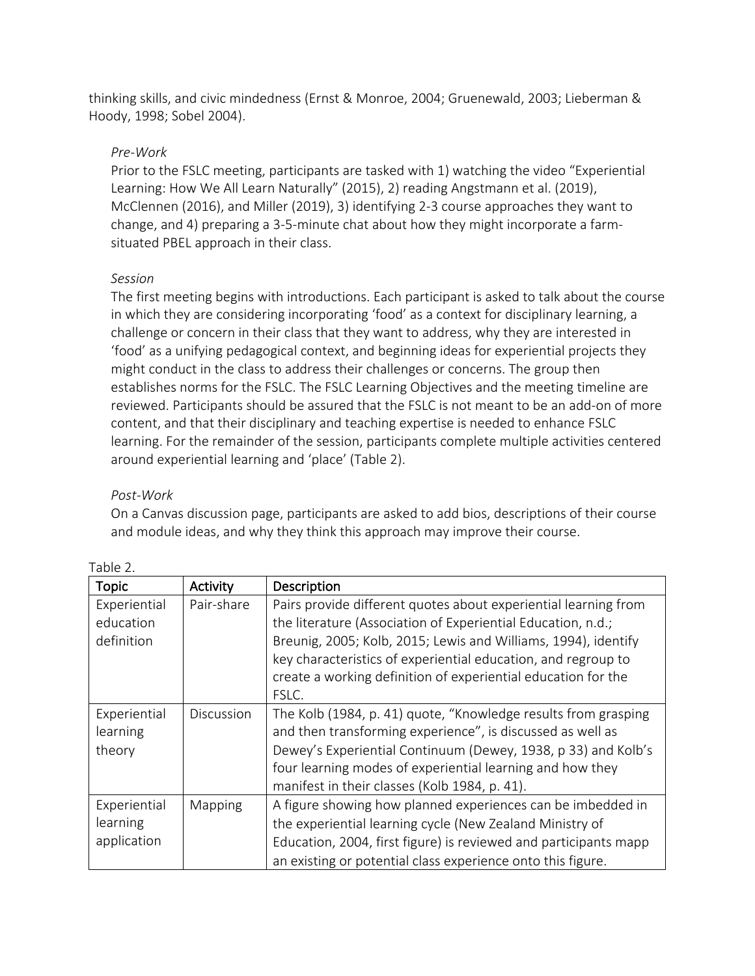thinking skills, and civic mindedness (Ernst & Monroe, 2004; Gruenewald, 2003; Lieberman & Hoody, 1998; Sobel 2004).

#### *Pre-Work*

Prior to the FSLC meeting, participants are tasked with 1) watching the video "Experiential Learning: How We All Learn Naturally" (2015), 2) reading Angstmann et al. (2019), McClennen (2016), and Miller (2019), 3) identifying 2-3 course approaches they want to change, and 4) preparing a 3-5-minute chat about how they might incorporate a farmsituated PBEL approach in their class.

#### *Session*

The first meeting begins with introductions. Each participant is asked to talk about the course in which they are considering incorporating 'food' as a context for disciplinary learning, a challenge or concern in their class that they want to address, why they are interested in 'food' as a unifying pedagogical context, and beginning ideas for experiential projects they might conduct in the class to address their challenges or concerns. The group then establishes norms for the FSLC. The FSLC Learning Objectives and the meeting timeline are reviewed. Participants should be assured that the FSLC is not meant to be an add-on of more content, and that their disciplinary and teaching expertise is needed to enhance FSLC learning. For the remainder of the session, participants complete multiple activities centered around experiential learning and 'place' (Table 2).

## *Post-Work*

Table 2.

On a Canvas discussion page, participants are asked to add bios, descriptions of their course and module ideas, and why they think this approach may improve their course.

| <b>Topic</b>                            | Activity   | Description                                                                                                                                                                                                                                                                                                                                  |
|-----------------------------------------|------------|----------------------------------------------------------------------------------------------------------------------------------------------------------------------------------------------------------------------------------------------------------------------------------------------------------------------------------------------|
| Experiential<br>education<br>definition | Pair-share | Pairs provide different quotes about experiential learning from<br>the literature (Association of Experiential Education, n.d.;<br>Breunig, 2005; Kolb, 2015; Lewis and Williams, 1994), identify<br>key characteristics of experiential education, and regroup to<br>create a working definition of experiential education for the<br>FSLC. |
| Experiential<br>learning<br>theory      | Discussion | The Kolb (1984, p. 41) quote, "Knowledge results from grasping<br>and then transforming experience", is discussed as well as<br>Dewey's Experiential Continuum (Dewey, 1938, p 33) and Kolb's<br>four learning modes of experiential learning and how they<br>manifest in their classes (Kolb 1984, p. 41).                                  |
| Experiential<br>learning<br>application | Mapping    | A figure showing how planned experiences can be imbedded in<br>the experiential learning cycle (New Zealand Ministry of<br>Education, 2004, first figure) is reviewed and participants mapp<br>an existing or potential class experience onto this figure.                                                                                   |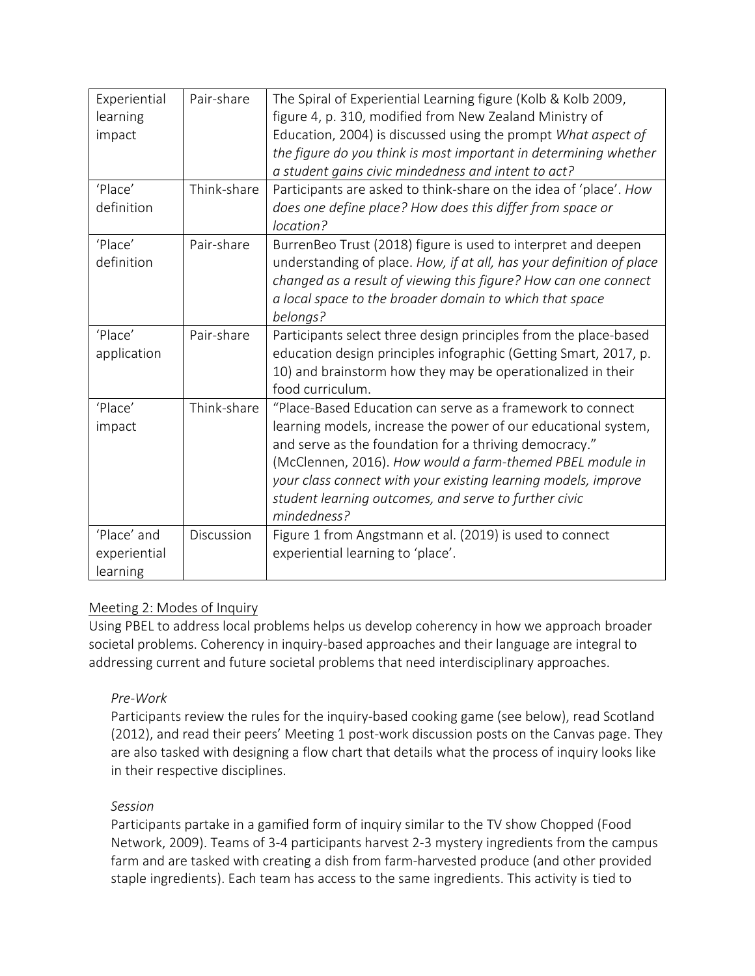| Experiential | Pair-share  | The Spiral of Experiential Learning figure (Kolb & Kolb 2009,        |
|--------------|-------------|----------------------------------------------------------------------|
| learning     |             | figure 4, p. 310, modified from New Zealand Ministry of              |
| impact       |             | Education, 2004) is discussed using the prompt What aspect of        |
|              |             | the figure do you think is most important in determining whether     |
|              |             | a student gains civic mindedness and intent to act?                  |
| 'Place'      | Think-share | Participants are asked to think-share on the idea of 'place'. How    |
| definition   |             | does one define place? How does this differ from space or            |
|              |             | location?                                                            |
| 'Place'      | Pair-share  | BurrenBeo Trust (2018) figure is used to interpret and deepen        |
| definition   |             | understanding of place. How, if at all, has your definition of place |
|              |             | changed as a result of viewing this figure? How can one connect      |
|              |             | a local space to the broader domain to which that space              |
|              |             | belongs?                                                             |
| 'Place'      | Pair-share  | Participants select three design principles from the place-based     |
| application  |             | education design principles infographic (Getting Smart, 2017, p.     |
|              |             | 10) and brainstorm how they may be operationalized in their          |
|              |             | food curriculum.                                                     |
| 'Place'      | Think-share | "Place-Based Education can serve as a framework to connect           |
| impact       |             | learning models, increase the power of our educational system,       |
|              |             | and serve as the foundation for a thriving democracy."               |
|              |             | (McClennen, 2016). How would a farm-themed PBEL module in            |
|              |             | your class connect with your existing learning models, improve       |
|              |             | student learning outcomes, and serve to further civic                |
|              |             | mindedness?                                                          |
| 'Place' and  | Discussion  | Figure 1 from Angstmann et al. (2019) is used to connect             |
| experiential |             | experiential learning to 'place'.                                    |
| learning     |             |                                                                      |

## Meeting 2: Modes of Inquiry

Using PBEL to address local problems helps us develop coherency in how we approach broader societal problems. Coherency in inquiry-based approaches and their language are integral to addressing current and future societal problems that need interdisciplinary approaches.

## *Pre-Work*

Participants review the rules for the inquiry-based cooking game (see below), read Scotland (2012), and read their peers' Meeting 1 post-work discussion posts on the Canvas page. They are also tasked with designing a flow chart that details what the process of inquiry looks like in their respective disciplines.

## *Session*

Participants partake in a gamified form of inquiry similar to the TV show Chopped (Food Network, 2009). Teams of 3-4 participants harvest 2-3 mystery ingredients from the campus farm and are tasked with creating a dish from farm-harvested produce (and other provided staple ingredients). Each team has access to the same ingredients. This activity is tied to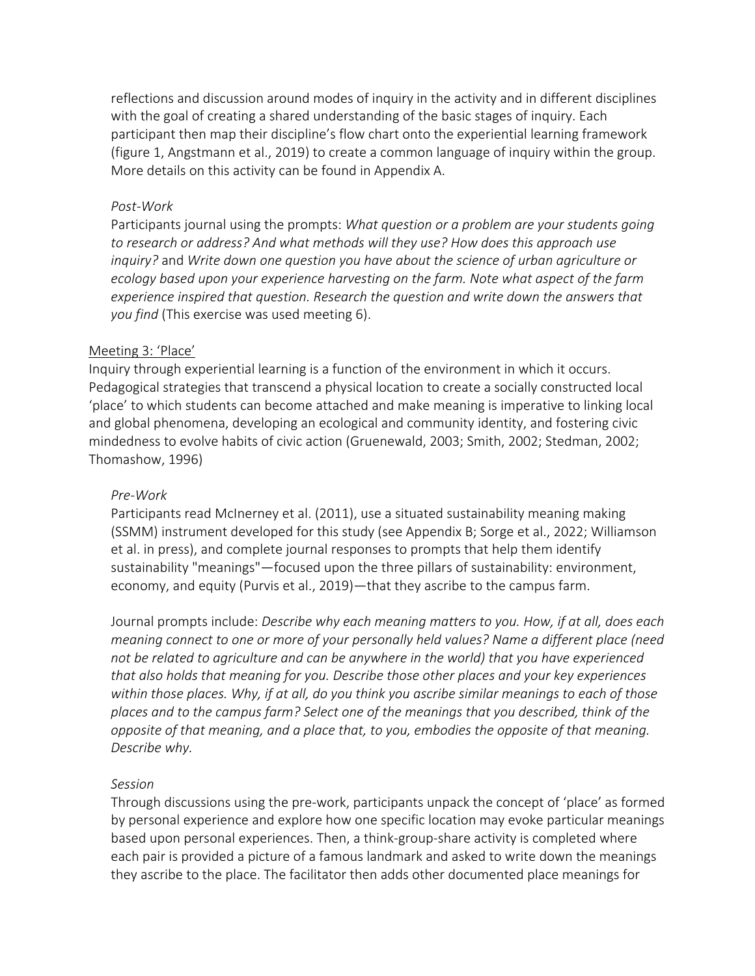reflections and discussion around modes of inquiry in the activity and in different disciplines with the goal of creating a shared understanding of the basic stages of inquiry. Each participant then map their discipline's flow chart onto the experiential learning framework (figure 1, Angstmann et al., 2019) to create a common language of inquiry within the group. More details on this activity can be found in Appendix A.

#### *Post-Work*

Participants journal using the prompts: *What question or a problem are your students going to research or address? And what methods will they use? How does this approach use inquiry?* and *Write down one question you have about the science of urban agriculture or ecology based upon your experience harvesting on the farm. Note what aspect of the farm experience inspired that question. Research the question and write down the answers that you find* (This exercise was used meeting 6).

#### Meeting 3: 'Place'

Inquiry through experiential learning is a function of the environment in which it occurs. Pedagogical strategies that transcend a physical location to create a socially constructed local 'place' to which students can become attached and make meaning is imperative to linking local and global phenomena, developing an ecological and community identity, and fostering civic mindedness to evolve habits of civic action (Gruenewald, 2003; Smith, 2002; Stedman, 2002; Thomashow, 1996)

#### *Pre-Work*

Participants read McInerney et al. (2011), use a situated sustainability meaning making (SSMM) instrument developed for this study (see Appendix B; Sorge et al., 2022; Williamson et al. in press), and complete journal responses to prompts that help them identify sustainability "meanings"—focused upon the three pillars of sustainability: environment, economy, and equity (Purvis et al., 2019)—that they ascribe to the campus farm.

Journal prompts include: *Describe why each meaning matters to you. How, if at all, does each meaning connect to one or more of your personally held values? Name a different place (need not be related to agriculture and can be anywhere in the world) that you have experienced that also holds that meaning for you. Describe those other places and your key experiences within those places. Why, if at all, do you think you ascribe similar meanings to each of those places and to the campus farm? Select one of the meanings that you described, think of the opposite of that meaning, and a place that, to you, embodies the opposite of that meaning. Describe why.*

#### *Session*

Through discussions using the pre-work, participants unpack the concept of 'place' as formed by personal experience and explore how one specific location may evoke particular meanings based upon personal experiences. Then, a think-group-share activity is completed where each pair is provided a picture of a famous landmark and asked to write down the meanings they ascribe to the place. The facilitator then adds other documented place meanings for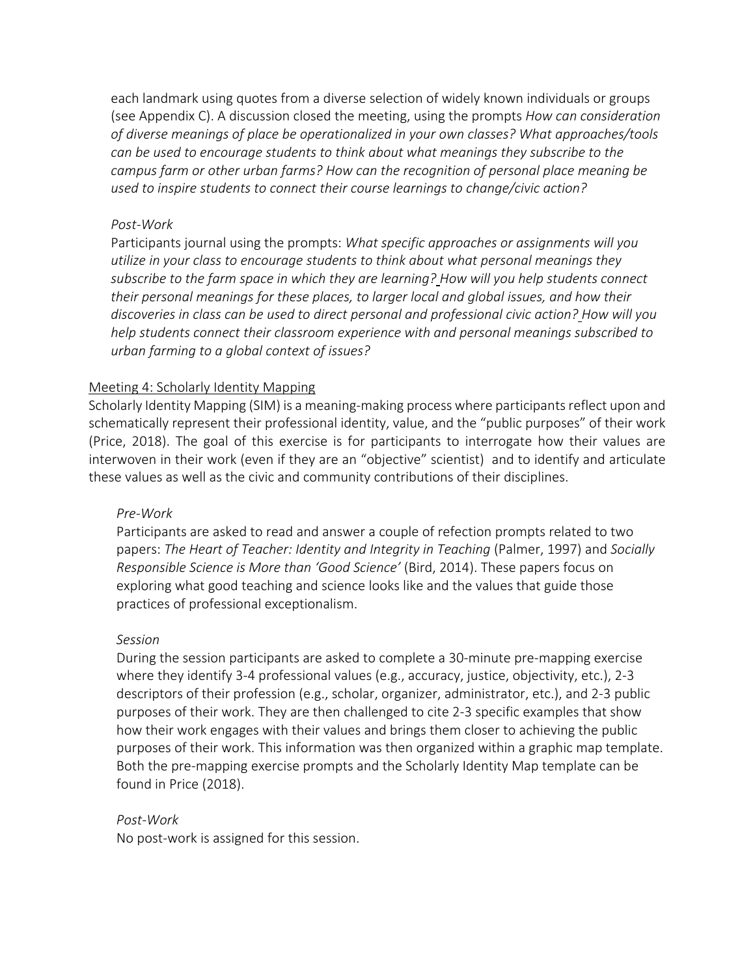each landmark using quotes from a diverse selection of widely known individuals or groups (see Appendix C). A discussion closed the meeting, using the prompts *How can consideration of diverse meanings of place be operationalized in your own classes? What approaches/tools can be used to encourage students to think about what meanings they subscribe to the campus farm or other urban farms? How can the recognition of personal place meaning be used to inspire students to connect their course learnings to change/civic action?*

#### *Post-Work*

Participants journal using the prompts: *What specific approaches or assignments will you utilize in your class to encourage students to think about what personal meanings they subscribe to the farm space in which they are learning? How will you help students connect their personal meanings for these places, to larger local and global issues, and how their discoveries in class can be used to direct personal and professional civic action? How will you help students connect their classroom experience with and personal meanings subscribed to urban farming to a global context of issues?*

#### Meeting 4: Scholarly Identity Mapping

Scholarly Identity Mapping (SIM) is a meaning-making process where participants reflect upon and schematically represent their professional identity, value, and the "public purposes" of their work (Price, 2018). The goal of this exercise is for participants to interrogate how their values are interwoven in their work (even if they are an "objective" scientist) and to identify and articulate these values as well as the civic and community contributions of their disciplines.

#### *Pre-Work*

Participants are asked to read and answer a couple of refection prompts related to two papers: *The Heart of Teacher: Identity and Integrity in Teaching* (Palmer, 1997) and *Socially Responsible Science is More than 'Good Science'* (Bird, 2014). These papers focus on exploring what good teaching and science looks like and the values that guide those practices of professional exceptionalism.

#### *Session*

During the session participants are asked to complete a 30-minute pre-mapping exercise where they identify 3-4 professional values (e.g., accuracy, justice, objectivity, etc.), 2-3 descriptors of their profession (e.g., scholar, organizer, administrator, etc.), and 2-3 public purposes of their work. They are then challenged to cite 2-3 specific examples that show how their work engages with their values and brings them closer to achieving the public purposes of their work. This information was then organized within a graphic map template. Both the pre-mapping exercise prompts and the Scholarly Identity Map template can be found in Price (2018).

#### *Post-Work*

No post-work is assigned for this session.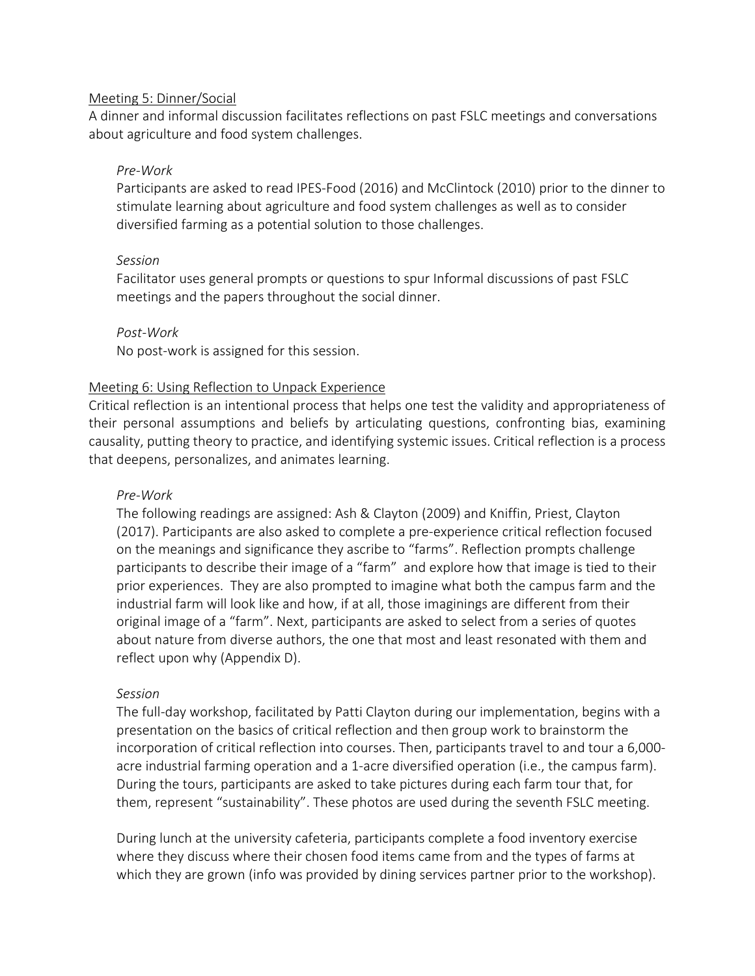#### Meeting 5: Dinner/Social

A dinner and informal discussion facilitates reflections on past FSLC meetings and conversations about agriculture and food system challenges.

#### *Pre-Work*

Participants are asked to read IPES-Food (2016) and McClintock (2010) prior to the dinner to stimulate learning about agriculture and food system challenges as well as to consider diversified farming as a potential solution to those challenges.

#### *Session*

Facilitator uses general prompts or questions to spur Informal discussions of past FSLC meetings and the papers throughout the social dinner.

#### *Post-Work*

No post-work is assigned for this session.

#### Meeting 6: Using Reflection to Unpack Experience

Critical reflection is an intentional process that helps one test the validity and appropriateness of their personal assumptions and beliefs by articulating questions, confronting bias, examining causality, putting theory to practice, and identifying systemic issues. Critical reflection is a process that deepens, personalizes, and animates learning.

#### *Pre-Work*

The following readings are assigned: Ash & Clayton (2009) and Kniffin, Priest, Clayton (2017). Participants are also asked to complete a pre-experience critical reflection focused on the meanings and significance they ascribe to "farms". Reflection prompts challenge participants to describe their image of a "farm" and explore how that image is tied to their prior experiences. They are also prompted to imagine what both the campus farm and the industrial farm will look like and how, if at all, those imaginings are different from their original image of a "farm". Next, participants are asked to select from a series of quotes about nature from diverse authors, the one that most and least resonated with them and reflect upon why (Appendix D).

#### *Session*

The full-day workshop, facilitated by Patti Clayton during our implementation, begins with a presentation on the basics of critical reflection and then group work to brainstorm the incorporation of critical reflection into courses. Then, participants travel to and tour a 6,000 acre industrial farming operation and a 1-acre diversified operation (i.e., the campus farm). During the tours, participants are asked to take pictures during each farm tour that, for them, represent "sustainability". These photos are used during the seventh FSLC meeting.

During lunch at the university cafeteria, participants complete a food inventory exercise where they discuss where their chosen food items came from and the types of farms at which they are grown (info was provided by dining services partner prior to the workshop).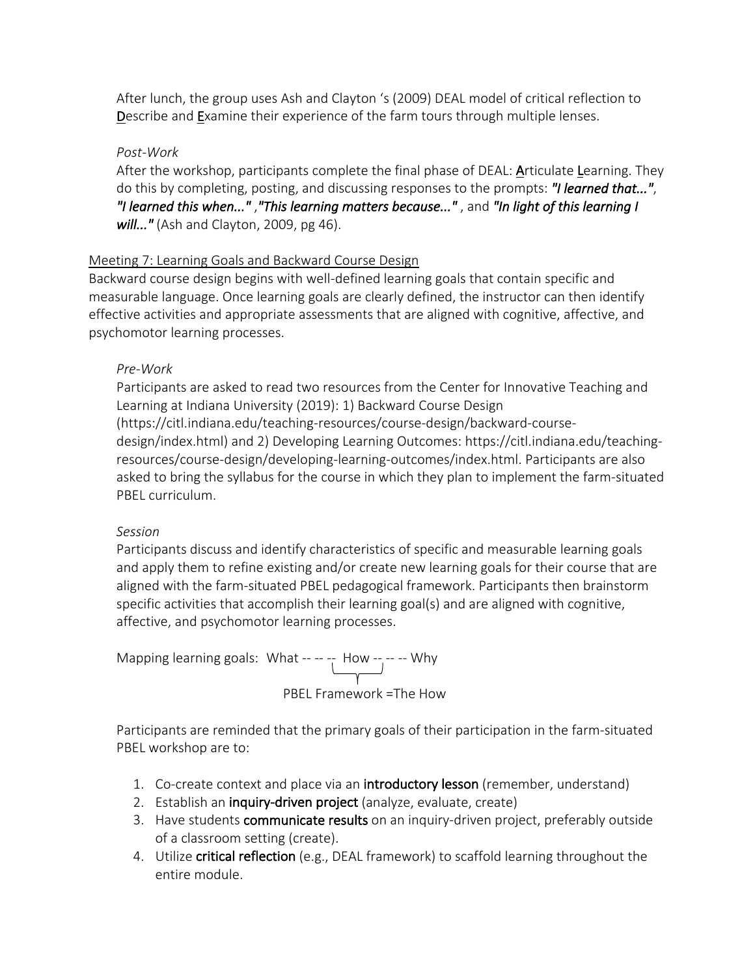After lunch, the group uses Ash and Clayton 's (2009) DEAL model of critical reflection to Describe and Examine their experience of the farm tours through multiple lenses.

#### *Post-Work*

After the workshop, participants complete the final phase of DEAL: Articulate Learning. They do this by completing, posting, and discussing responses to the prompts: *"I learned that..."*, *"I learned this when..."* ,*"This learning matters because..."* , and *"In light of this learning I will..."* (Ash and Clayton, 2009, pg 46).

## Meeting 7: Learning Goals and Backward Course Design

Backward course design begins with well-defined learning goals that contain specific and measurable language. Once learning goals are clearly defined, the instructor can then identify effective activities and appropriate assessments that are aligned with cognitive, affective, and psychomotor learning processes.

## *Pre-Work*

Participants are asked to read two resources from the Center for Innovative Teaching and Learning at Indiana University (2019): 1) Backward Course Design (https://citl.indiana.edu/teaching-resources/course-design/backward-coursedesign/index.html) and 2) Developing Learning Outcomes: https://citl.indiana.edu/teachingresources/course-design/developing-learning-outcomes/index.html. Participants are also asked to bring the syllabus for the course in which they plan to implement the farm-situated PBEL curriculum.

## *Session*

Participants discuss and identify characteristics of specific and measurable learning goals and apply them to refine existing and/or create new learning goals for their course that are aligned with the farm-situated PBEL pedagogical framework. Participants then brainstorm specific activities that accomplish their learning goal(s) and are aligned with cognitive, affective, and psychomotor learning processes.

Mapping learning goals: What -- -- -- How -- -- -- Why PBEL Framework =The How

Participants are reminded that the primary goals of their participation in the farm-situated PBEL workshop are to:

- 1. Co-create context and place via an **introductory lesson** (remember, understand)
- 2. Establish an inquiry-driven project (analyze, evaluate, create)
- 3. Have students communicate results on an inquiry-driven project, preferably outside of a classroom setting (create).
- 4. Utilize critical reflection (e.g., DEAL framework) to scaffold learning throughout the entire module.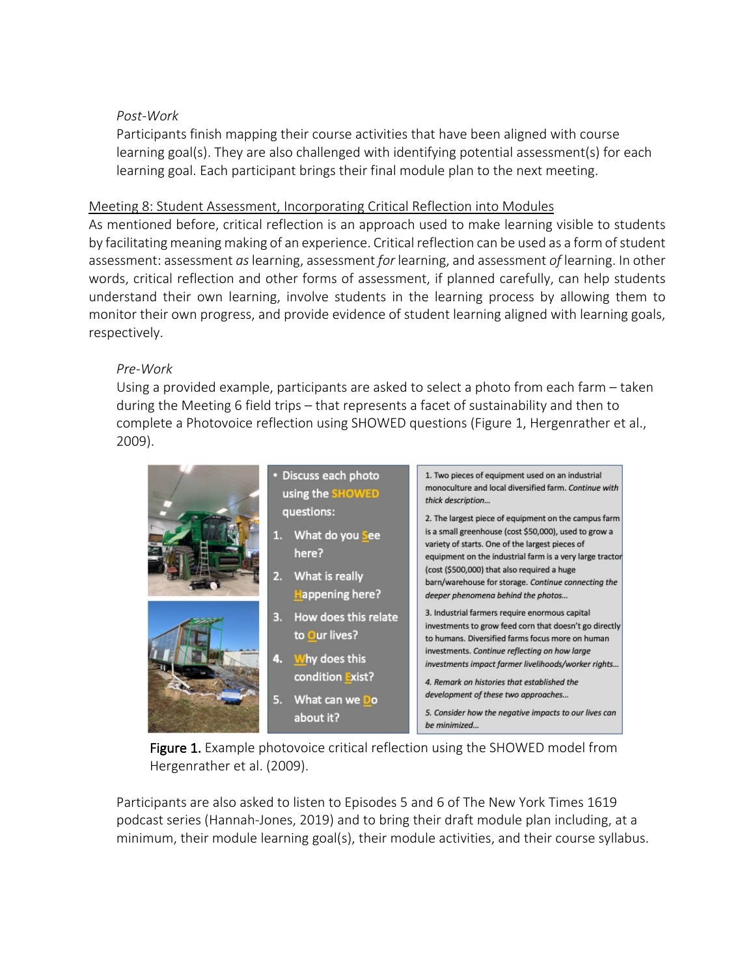#### *Post-Work*

Participants finish mapping their course activities that have been aligned with course learning goal(s). They are also challenged with identifying potential assessment(s) for each learning goal. Each participant brings their final module plan to the next meeting.

#### Meeting 8: Student Assessment, Incorporating Critical Reflection into Modules

As mentioned before, critical reflection is an approach used to make learning visible to students by facilitating meaning making of an experience. Critical reflection can be used as a form of student assessment: assessment *as*learning, assessment *for* learning, and assessment *of* learning. In other words, critical reflection and other forms of assessment, if planned carefully, can help students understand their own learning, involve students in the learning process by allowing them to monitor their own progress, and provide evidence of student learning aligned with learning goals, respectively.

## *Pre-Work*

Using a provided example, participants are asked to select a photo from each farm – taken during the Meeting 6 field trips – that represents a facet of sustainability and then to complete a Photovoice reflection using SHOWED questions (Figure 1, Hergenrather et al., 2009).

| • Discuss each photo<br>using the SHOWED<br>questions:<br>1. What do you see<br>here?<br>2.<br>What is really<br><b>Happening here?</b> | 1. Two pieces of equipment used on an industrial<br>monoculture and local diversified farm. Continue with<br>thick description<br>2. The largest piece of equipment on the campus farm<br>is a small greenhouse (cost \$50,000), used to grow a<br>variety of starts. One of the largest pieces of<br>equipment on the industrial farm is a very large tractor<br>(cost (\$500,000) that also required a huge<br>barn/warehouse for storage. Continue connecting the<br>deeper phenomena behind the photos |
|-----------------------------------------------------------------------------------------------------------------------------------------|------------------------------------------------------------------------------------------------------------------------------------------------------------------------------------------------------------------------------------------------------------------------------------------------------------------------------------------------------------------------------------------------------------------------------------------------------------------------------------------------------------|
| How does this relate<br>3.<br>to Our lives?<br>Why does this<br>4.<br>condition Exist?                                                  | 3. Industrial farmers require enormous capital<br>investments to grow feed corn that doesn't go directly<br>to humans. Diversified farms focus more on human<br>investments. Continue reflecting on how large<br>investments impact farmer livelihoods/worker rights<br>4. Remark on histories that established the                                                                                                                                                                                        |
| 5.<br>What can we Do<br>about it?                                                                                                       | development of these two approaches<br>5. Consider how the negative impacts to our lives can<br>be minimized                                                                                                                                                                                                                                                                                                                                                                                               |

Figure 1. Example photovoice critical reflection using the SHOWED model from Hergenrather et al. (2009).

Participants are also asked to listen to Episodes 5 and 6 of The New York Times 1619 podcast series (Hannah-Jones, 2019) and to bring their draft module plan including, at a minimum, their module learning goal(s), their module activities, and their course syllabus.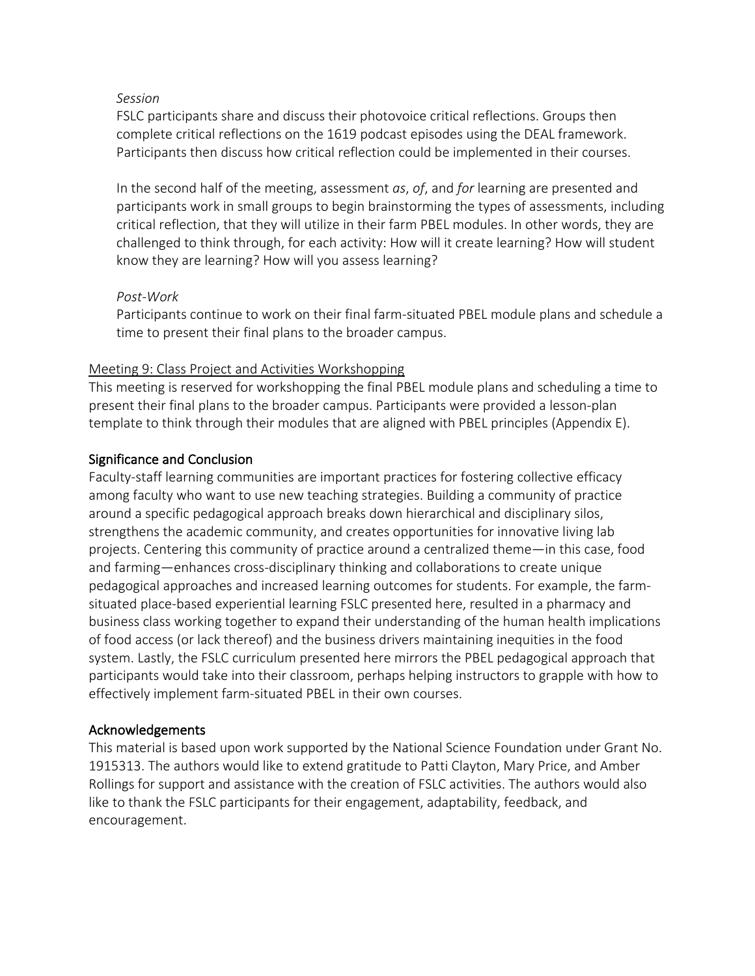#### *Session*

FSLC participants share and discuss their photovoice critical reflections. Groups then complete critical reflections on the 1619 podcast episodes using the DEAL framework. Participants then discuss how critical reflection could be implemented in their courses.

In the second half of the meeting, assessment *as*, *of*, and *for* learning are presented and participants work in small groups to begin brainstorming the types of assessments, including critical reflection, that they will utilize in their farm PBEL modules. In other words, they are challenged to think through, for each activity: How will it create learning? How will student know they are learning? How will you assess learning?

#### *Post-Work*

Participants continue to work on their final farm-situated PBEL module plans and schedule a time to present their final plans to the broader campus.

## Meeting 9: Class Project and Activities Workshopping

This meeting is reserved for workshopping the final PBEL module plans and scheduling a time to present their final plans to the broader campus. Participants were provided a lesson-plan template to think through their modules that are aligned with PBEL principles (Appendix E).

## Significance and Conclusion

Faculty-staff learning communities are important practices for fostering collective efficacy among faculty who want to use new teaching strategies. Building a community of practice around a specific pedagogical approach breaks down hierarchical and disciplinary silos, strengthens the academic community, and creates opportunities for innovative living lab projects. Centering this community of practice around a centralized theme—in this case, food and farming—enhances cross-disciplinary thinking and collaborations to create unique pedagogical approaches and increased learning outcomes for students. For example, the farmsituated place-based experiential learning FSLC presented here, resulted in a pharmacy and business class working together to expand their understanding of the human health implications of food access (or lack thereof) and the business drivers maintaining inequities in the food system. Lastly, the FSLC curriculum presented here mirrors the PBEL pedagogical approach that participants would take into their classroom, perhaps helping instructors to grapple with how to effectively implement farm-situated PBEL in their own courses.

## Acknowledgements

This material is based upon work supported by the National Science Foundation under Grant No. 1915313. The authors would like to extend gratitude to Patti Clayton, Mary Price, and Amber Rollings for support and assistance with the creation of FSLC activities. The authors would also like to thank the FSLC participants for their engagement, adaptability, feedback, and encouragement.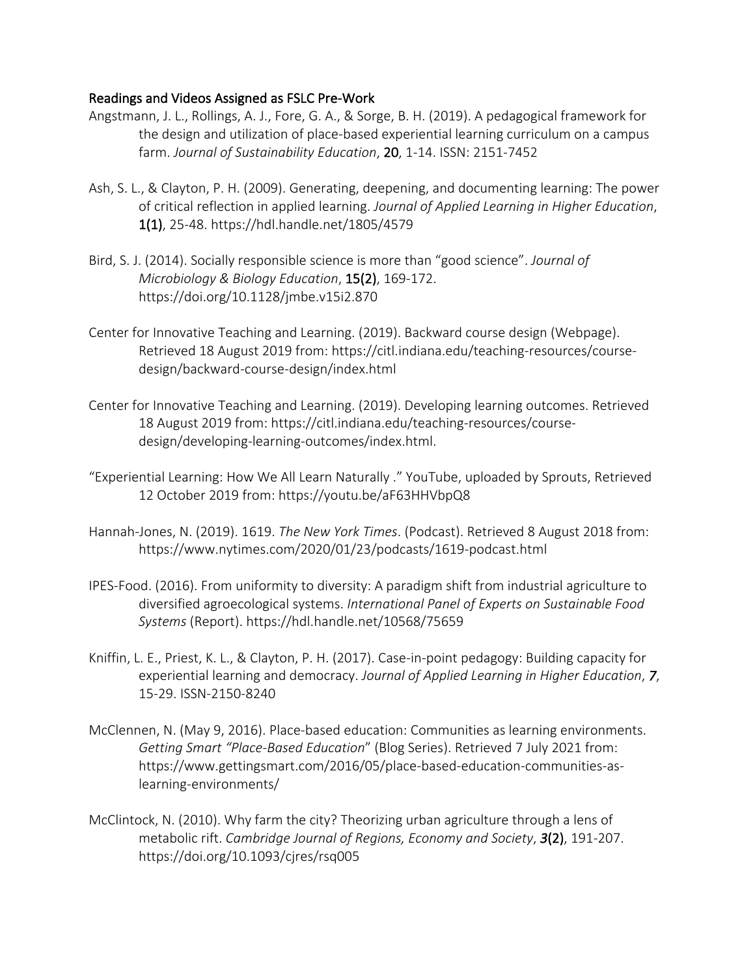#### Readings and Videos Assigned as FSLC Pre-Work

- Angstmann, J. L., Rollings, A. J., Fore, G. A., & Sorge, B. H. (2019). A pedagogical framework for the design and utilization of place-based experiential learning curriculum on a campus farm. *Journal of Sustainability Education*, 20, 1-14. ISSN: 2151-7452
- Ash, S. L., & Clayton, P. H. (2009). Generating, deepening, and documenting learning: The power of critical reflection in applied learning. *Journal of Applied Learning in Higher Education*, 1(1), 25-48. https://hdl.handle.net/1805/4579
- Bird, S. J. (2014). Socially responsible science is more than "good science". *Journal of Microbiology & Biology Education*, 15(2), 169-172. https://doi.org/10.1128/jmbe.v15i2.870
- Center for Innovative Teaching and Learning. (2019). Backward course design (Webpage). Retrieved 18 August 2019 from: https://citl.indiana.edu/teaching-resources/coursedesign/backward-course-design/index.html
- Center for Innovative Teaching and Learning. (2019). Developing learning outcomes. Retrieved 18 August 2019 from: https://citl.indiana.edu/teaching-resources/coursedesign/developing-learning-outcomes/index.html.
- "Experiential Learning: How We All Learn Naturally ." YouTube, uploaded by Sprouts, Retrieved 12 October 2019 from: https://youtu.be/aF63HHVbpQ8
- Hannah-Jones, N. (2019). 1619. *The New York Times*. (Podcast). Retrieved 8 August 2018 from: https://www.nytimes.com/2020/01/23/podcasts/1619-podcast.html
- IPES-Food. (2016). From uniformity to diversity: A paradigm shift from industrial agriculture to diversified agroecological systems. *International Panel of Experts on Sustainable Food Systems* (Report). https://hdl.handle.net/10568/75659
- Kniffin, L. E., Priest, K. L., & Clayton, P. H. (2017). Case-in-point pedagogy: Building capacity for experiential learning and democracy. *Journal of Applied Learning in Higher Education*, *7*, 15-29. ISSN-2150-8240
- McClennen, N. (May 9, 2016). Place-based education: Communities as learning environments. *Getting Smart "Place-Based Education*" (Blog Series). Retrieved 7 July 2021 from: https://www.gettingsmart.com/2016/05/place-based-education-communities-aslearning-environments/
- McClintock, N. (2010). Why farm the city? Theorizing urban agriculture through a lens of metabolic rift. *Cambridge Journal of Regions, Economy and Society*, *3*(2), 191-207. https://doi.org/10.1093/cjres/rsq005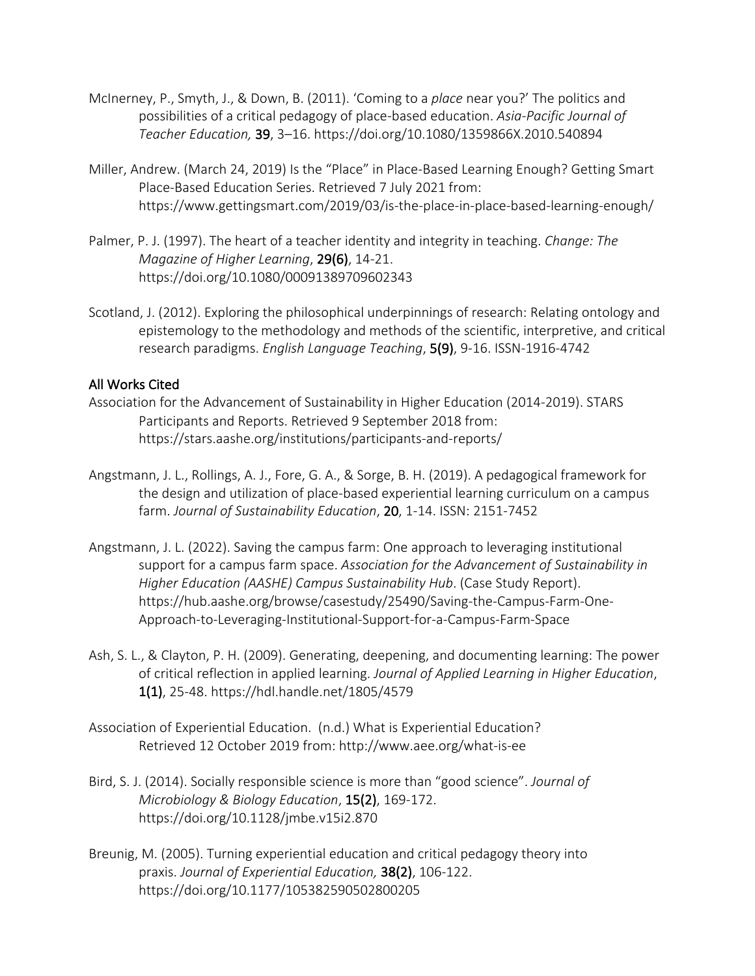- McInerney, P., Smyth, J., & Down, B. (2011). 'Coming to a *place* near you?' The politics and possibilities of a critical pedagogy of place-based education. *Asia-Pacific Journal of Teacher Education,* 39, 3–16. https://doi.org/10.1080/1359866X.2010.540894
- Miller, Andrew. (March 24, 2019) Is the "Place" in Place-Based Learning Enough? Getting Smart Place-Based Education Series. Retrieved 7 July 2021 from: https://www.gettingsmart.com/2019/03/is-the-place-in-place-based-learning-enough/
- Palmer, P. J. (1997). The heart of a teacher identity and integrity in teaching. *Change: The Magazine of Higher Learning*, 29(6), 14-21. https://doi.org/10.1080/00091389709602343
- Scotland, J. (2012). Exploring the philosophical underpinnings of research: Relating ontology and epistemology to the methodology and methods of the scientific, interpretive, and critical research paradigms. *English Language Teaching*, 5(9), 9-16. ISSN-1916-4742

#### All Works Cited

- Association for the Advancement of Sustainability in Higher Education (2014-2019). STARS Participants and Reports. Retrieved 9 September 2018 from: https://stars.aashe.org/institutions/participants-and-reports/
- Angstmann, J. L., Rollings, A. J., Fore, G. A., & Sorge, B. H. (2019). A pedagogical framework for the design and utilization of place-based experiential learning curriculum on a campus farm. *Journal of Sustainability Education*, 20, 1-14. ISSN: 2151-7452
- Angstmann, J. L. (2022). Saving the campus farm: One approach to leveraging institutional support for a campus farm space. *Association for the Advancement of Sustainability in Higher Education (AASHE) Campus Sustainability Hub*. (Case Study Report). https://hub.aashe.org/browse/casestudy/25490/Saving-the-Campus-Farm-One-Approach-to-Leveraging-Institutional-Support-for-a-Campus-Farm-Space
- Ash, S. L., & Clayton, P. H. (2009). Generating, deepening, and documenting learning: The power of critical reflection in applied learning. *Journal of Applied Learning in Higher Education*, 1(1), 25-48. https://hdl.handle.net/1805/4579
- Association of Experiential Education. (n.d.) What is Experiential Education? Retrieved 12 October 2019 from: http://www.aee.org/what-is-ee
- Bird, S. J. (2014). Socially responsible science is more than "good science". *Journal of Microbiology & Biology Education*, 15(2), 169-172. https://doi.org/10.1128/jmbe.v15i2.870
- Breunig, M. (2005). Turning experiential education and critical pedagogy theory into praxis. *Journal of Experiential Education,* 38(2), 106-122. https://doi.org/10.1177/105382590502800205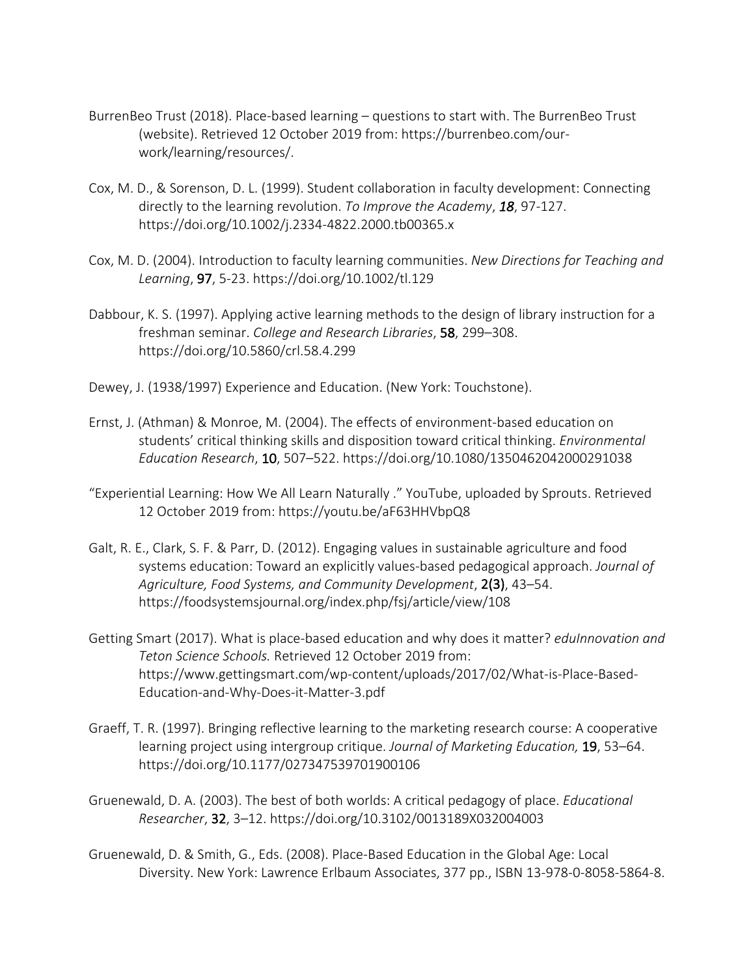- BurrenBeo Trust (2018). Place-based learning questions to start with. The BurrenBeo Trust (website). Retrieved 12 October 2019 from: https://burrenbeo.com/ourwork/learning/resources/.
- Cox, M. D., & Sorenson, D. L. (1999). Student collaboration in faculty development: Connecting directly to the learning revolution. *To Improve the Academy*, *18*, 97-127. https://doi.org/10.1002/j.2334-4822.2000.tb00365.x
- Cox, M. D. (2004). Introduction to faculty learning communities. *New Directions for Teaching and Learning*, 97, 5-23. https://doi.org/10.1002/tl.129
- Dabbour, K. S. (1997). Applying active learning methods to the design of library instruction for a freshman seminar. *College and Research Libraries*, 58, 299–308. https://doi.org/10.5860/crl.58.4.299
- Dewey, J. (1938/1997) Experience and Education. (New York: Touchstone).
- Ernst, J. (Athman) & Monroe, M. (2004). The effects of environment-based education on students' critical thinking skills and disposition toward critical thinking. *Environmental Education Research*, 10, 507–522. https://doi.org/10.1080/1350462042000291038
- "Experiential Learning: How We All Learn Naturally ." YouTube, uploaded by Sprouts. Retrieved 12 October 2019 from: https://youtu.be/aF63HHVbpQ8
- Galt, R. E., Clark, S. F. & Parr, D. (2012). Engaging values in sustainable agriculture and food systems education: Toward an explicitly values-based pedagogical approach. *Journal of Agriculture, Food Systems, and Community Development*, 2(3), 43–54. https://foodsystemsjournal.org/index.php/fsj/article/view/108
- Getting Smart (2017). What is place-based education and why does it matter? *eduInnovation and Teton Science Schools.* Retrieved 12 October 2019 from: https://www.gettingsmart.com/wp-content/uploads/2017/02/What-is-Place-Based-Education-and-Why-Does-it-Matter-3.pdf
- Graeff, T. R. (1997). Bringing reflective learning to the marketing research course: A cooperative learning project using intergroup critique. *Journal of Marketing Education,* 19, 53–64. https://doi.org/10.1177/027347539701900106
- Gruenewald, D. A. (2003). The best of both worlds: A critical pedagogy of place. *Educational Researcher*, 32, 3–12. https://doi.org/10.3102/0013189X032004003
- Gruenewald, D. & Smith, G., Eds. (2008). Place-Based Education in the Global Age: Local Diversity. New York: Lawrence Erlbaum Associates, 377 pp., ISBN 13-978-0-8058-5864-8.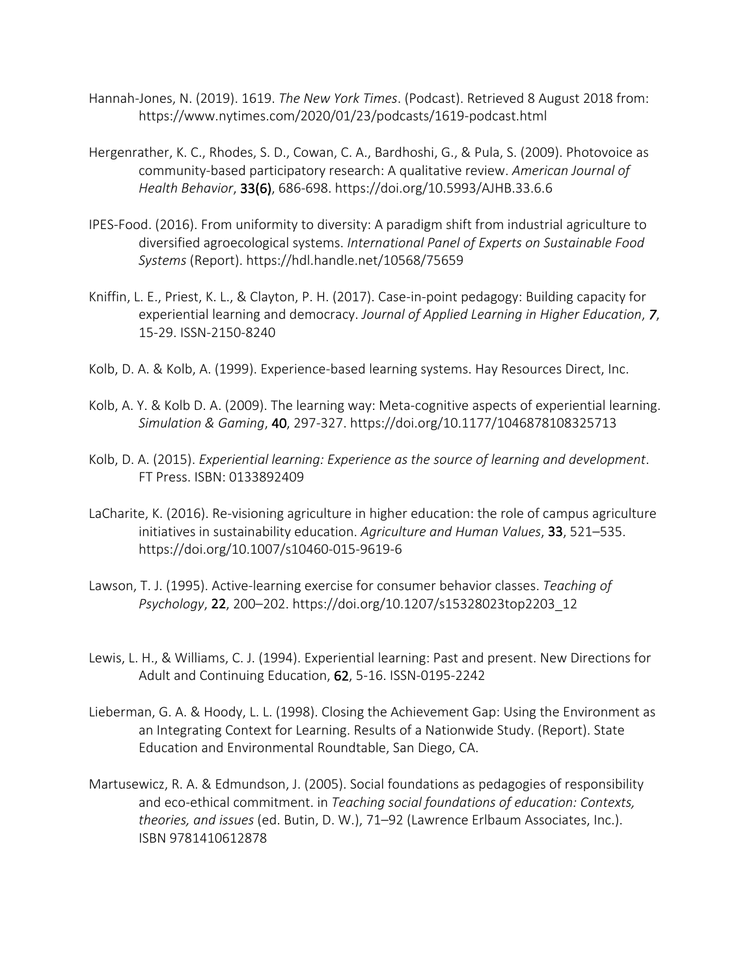- Hannah-Jones, N. (2019). 1619. *The New York Times*. (Podcast). Retrieved 8 August 2018 from: https://www.nytimes.com/2020/01/23/podcasts/1619-podcast.html
- Hergenrather, K. C., Rhodes, S. D., Cowan, C. A., Bardhoshi, G., & Pula, S. (2009). Photovoice as community-based participatory research: A qualitative review. *American Journal of Health Behavior*, 33(6), 686-698. https://doi.org/10.5993/AJHB.33.6.6
- IPES-Food. (2016). From uniformity to diversity: A paradigm shift from industrial agriculture to diversified agroecological systems. *International Panel of Experts on Sustainable Food Systems* (Report). https://hdl.handle.net/10568/75659
- Kniffin, L. E., Priest, K. L., & Clayton, P. H. (2017). Case-in-point pedagogy: Building capacity for experiential learning and democracy. *Journal of Applied Learning in Higher Education*, *7*, 15-29. ISSN-2150-8240
- Kolb, D. A. & Kolb, A. (1999). Experience-based learning systems. Hay Resources Direct, Inc.
- Kolb, A. Y. & Kolb D. A. (2009). The learning way: Meta-cognitive aspects of experiential learning. *Simulation & Gaming*, 40, 297-327. https://doi.org/10.1177/1046878108325713
- Kolb, D. A. (2015). *Experiential learning: Experience as the source of learning and development*. FT Press. ISBN: 0133892409
- LaCharite, K. (2016). Re-visioning agriculture in higher education: the role of campus agriculture initiatives in sustainability education. *Agriculture and Human Values*, 33, 521–535. https://doi.org/10.1007/s10460-015-9619-6
- Lawson, T. J. (1995). Active-learning exercise for consumer behavior classes. *Teaching of Psychology*, 22, 200–202. https://doi.org/10.1207/s15328023top2203\_12
- Lewis, L. H., & Williams, C. J. (1994). Experiential learning: Past and present. New Directions for Adult and Continuing Education, 62, 5-16. ISSN-0195-2242
- Lieberman, G. A. & Hoody, L. L. (1998). Closing the Achievement Gap: Using the Environment as an Integrating Context for Learning. Results of a Nationwide Study. (Report). State Education and Environmental Roundtable, San Diego, CA.
- Martusewicz, R. A. & Edmundson, J. (2005). Social foundations as pedagogies of responsibility and eco-ethical commitment. in *Teaching social foundations of education: Contexts, theories, and issues* (ed. Butin, D. W.), 71–92 (Lawrence Erlbaum Associates, Inc.). ISBN 9781410612878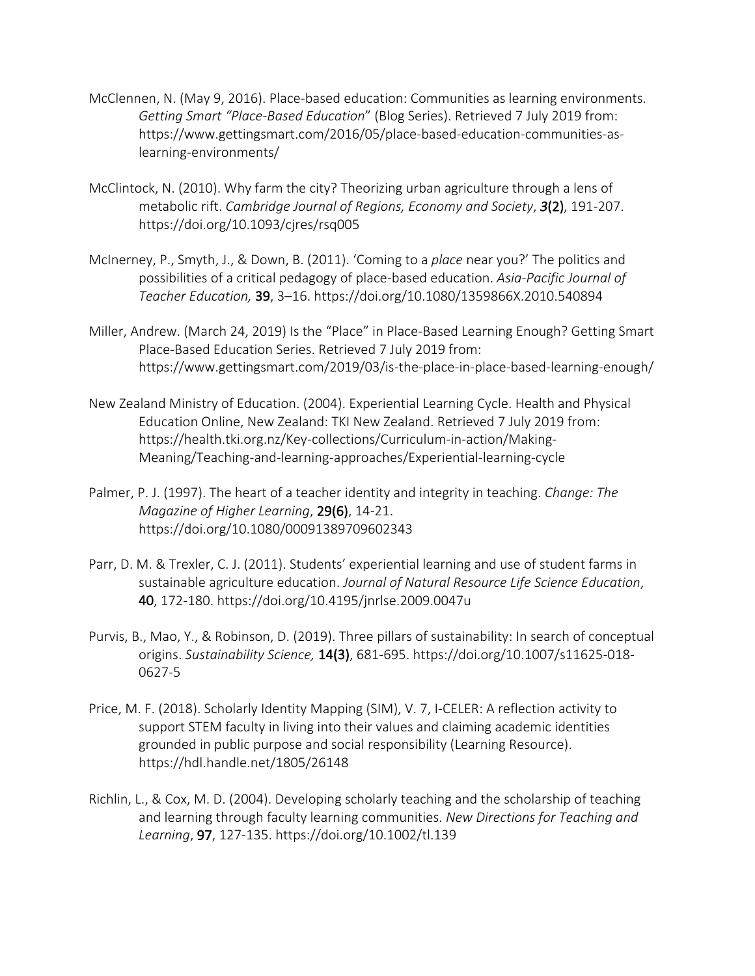- McClennen, N. (May 9, 2016). Place-based education: Communities as learning environments. *Getting Smart "Place-Based Education*" (Blog Series). Retrieved 7 July 2019 from: https://www.gettingsmart.com/2016/05/place-based-education-communities-aslearning-environments/
- McClintock, N. (2010). Why farm the city? Theorizing urban agriculture through a lens of metabolic rift. *Cambridge Journal of Regions, Economy and Society*, *3*(2), 191-207. https://doi.org/10.1093/cjres/rsq005
- McInerney, P., Smyth, J., & Down, B. (2011). 'Coming to a *place* near you?' The politics and possibilities of a critical pedagogy of place-based education. *Asia-Pacific Journal of Teacher Education,* 39, 3–16. https://doi.org/10.1080/1359866X.2010.540894
- Miller, Andrew. (March 24, 2019) Is the "Place" in Place-Based Learning Enough? Getting Smart Place-Based Education Series. Retrieved 7 July 2019 from: https://www.gettingsmart.com/2019/03/is-the-place-in-place-based-learning-enough/
- New Zealand Ministry of Education. (2004). Experiential Learning Cycle. Health and Physical Education Online, New Zealand: TKI New Zealand. Retrieved 7 July 2019 from: https://health.tki.org.nz/Key-collections/Curriculum-in-action/Making-Meaning/Teaching-and-learning-approaches/Experiential-learning-cycle
- Palmer, P. J. (1997). The heart of a teacher identity and integrity in teaching. *Change: The Magazine of Higher Learning*, 29(6), 14-21. https://doi.org/10.1080/00091389709602343
- Parr, D. M. & Trexler, C. J. (2011). Students' experiential learning and use of student farms in sustainable agriculture education. *Journal of Natural Resource Life Science Education*, 40, 172-180. https://doi.org/10.4195/jnrlse.2009.0047u
- Purvis, B., Mao, Y., & Robinson, D. (2019). Three pillars of sustainability: In search of conceptual origins. *Sustainability Science,* 14(3), 681-695. https://doi.org/10.1007/s11625-018- 0627-5
- Price, M. F. (2018). Scholarly Identity Mapping (SIM), V. 7, I-CELER: A reflection activity to support STEM faculty in living into their values and claiming academic identities grounded in public purpose and social responsibility (Learning Resource). https://hdl.handle.net/1805/26148
- Richlin, L., & Cox, M. D. (2004). Developing scholarly teaching and the scholarship of teaching and learning through faculty learning communities. *New Directions for Teaching and Learning*, 97, 127-135. https://doi.org/10.1002/tl.139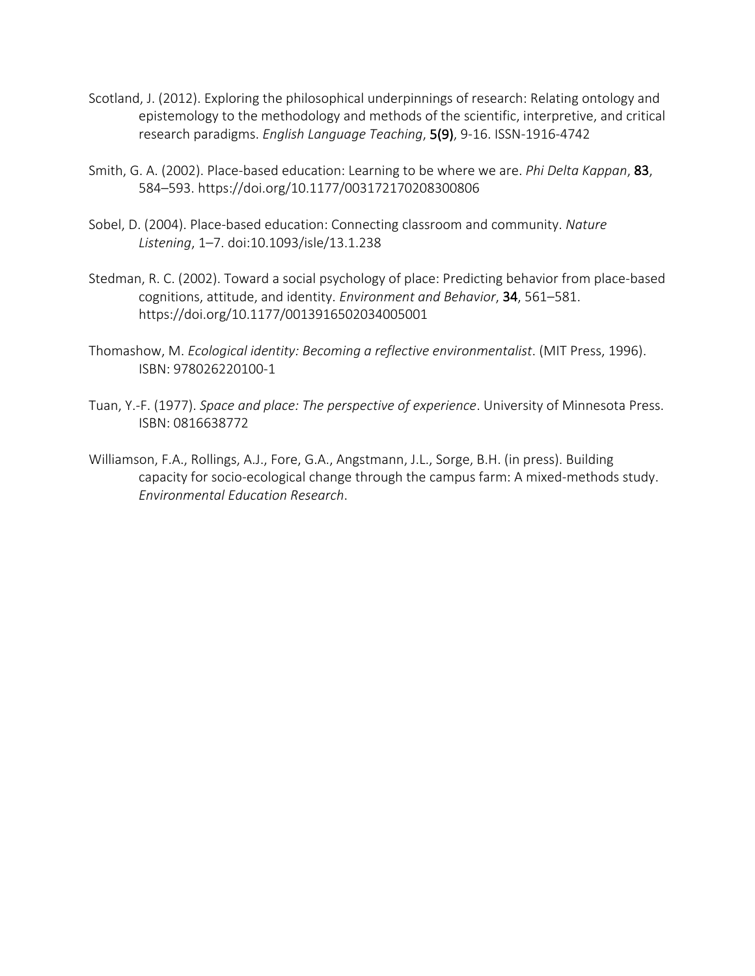- Scotland, J. (2012). Exploring the philosophical underpinnings of research: Relating ontology and epistemology to the methodology and methods of the scientific, interpretive, and critical research paradigms. *English Language Teaching*, 5(9), 9-16. ISSN-1916-4742
- Smith, G. A. (2002). Place-based education: Learning to be where we are. *Phi Delta Kappan*, 83, 584–593. https://doi.org/10.1177/003172170208300806
- Sobel, D. (2004). Place-based education: Connecting classroom and community. *Nature Listening*, 1–7. doi:10.1093/isle/13.1.238
- Stedman, R. C. (2002). Toward a social psychology of place: Predicting behavior from place-based cognitions, attitude, and identity. *Environment and Behavior*, 34, 561–581. https://doi.org/10.1177/0013916502034005001
- Thomashow, M. *Ecological identity: Becoming a reflective environmentalist*. (MIT Press, 1996). ISBN: 978026220100-1
- Tuan, Y.-F. (1977). *Space and place: The perspective of experience*. University of Minnesota Press. ISBN: 0816638772
- Williamson, F.A., Rollings, A.J., Fore, G.A., Angstmann, J.L., Sorge, B.H. (in press). Building capacity for socio-ecological change through the campus farm: A mixed-methods study. *Environmental Education Research*.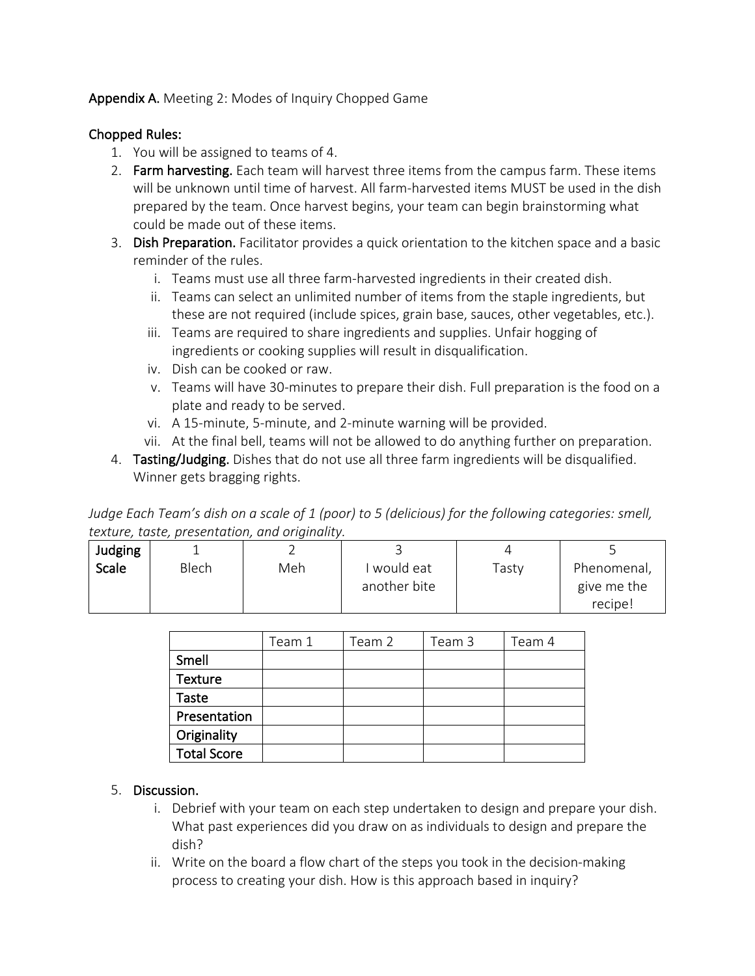## Appendix A. Meeting 2: Modes of Inquiry Chopped Game

## Chopped Rules:

- 1. You will be assigned to teams of 4.
- 2. Farm harvesting. Each team will harvest three items from the campus farm. These items will be unknown until time of harvest. All farm-harvested items MUST be used in the dish prepared by the team. Once harvest begins, your team can begin brainstorming what could be made out of these items.
- 3. Dish Preparation. Facilitator provides a quick orientation to the kitchen space and a basic reminder of the rules.
	- i. Teams must use all three farm-harvested ingredients in their created dish.
	- ii. Teams can select an unlimited number of items from the staple ingredients, but these are not required (include spices, grain base, sauces, other vegetables, etc.).
	- iii. Teams are required to share ingredients and supplies. Unfair hogging of ingredients or cooking supplies will result in disqualification.
	- iv. Dish can be cooked or raw.
	- v. Teams will have 30-minutes to prepare their dish. Full preparation is the food on a plate and ready to be served.
	- vi. A 15-minute, 5-minute, and 2-minute warning will be provided.
	- vii. At the final bell, teams will not be allowed to do anything further on preparation.
- 4. Tasting/Judging. Dishes that do not use all three farm ingredients will be disqualified. Winner gets bragging rights.

*Judge Each Team's dish on a scale of 1 (poor) to 5 (delicious) for the following categories: smell, texture, taste, presentation, and originality.*

| Judging      |       |     |              |       |             |
|--------------|-------|-----|--------------|-------|-------------|
| <b>Scale</b> | Blech | Meh | I would eat  | Tasty | Phenomenal, |
|              |       |     | another bite |       | give me the |
|              |       |     |              |       | recipe!     |

|                    | Team 1 | Team 2 | Team 3 | Team 4 |
|--------------------|--------|--------|--------|--------|
| Smell              |        |        |        |        |
| <b>Texture</b>     |        |        |        |        |
| Taste              |        |        |        |        |
| Presentation       |        |        |        |        |
| Originality        |        |        |        |        |
| <b>Total Score</b> |        |        |        |        |

## 5. Discussion.

- i. Debrief with your team on each step undertaken to design and prepare your dish. What past experiences did you draw on as individuals to design and prepare the dish?
- ii. Write on the board a flow chart of the steps you took in the decision-making process to creating your dish. How is this approach based in inquiry?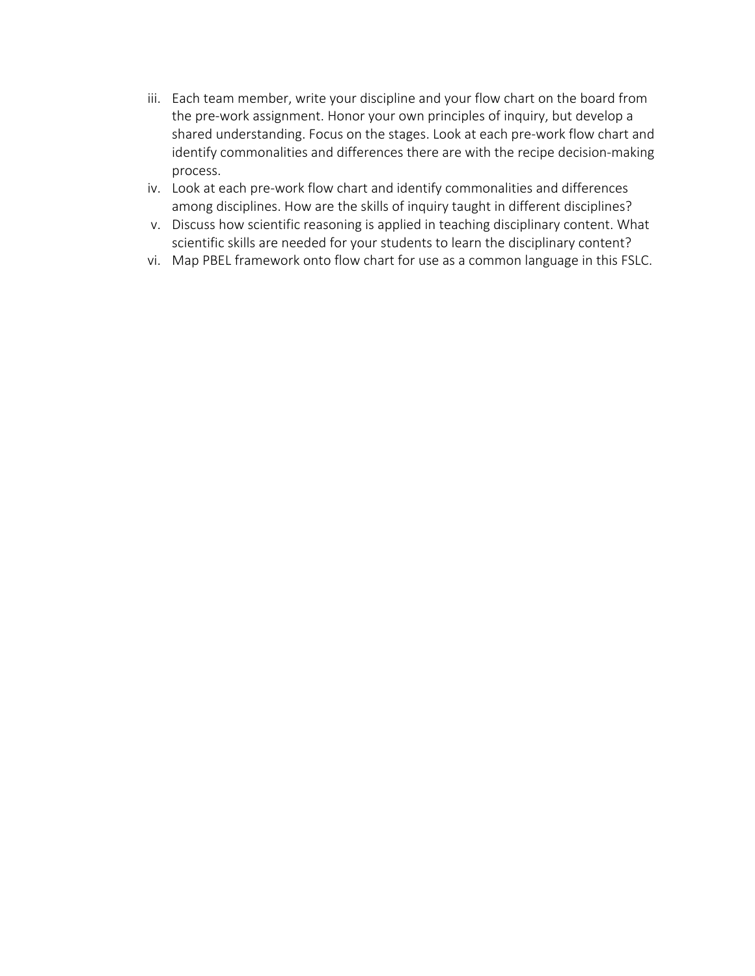- iii. Each team member, write your discipline and your flow chart on the board from the pre-work assignment. Honor your own principles of inquiry, but develop a shared understanding. Focus on the stages. Look at each pre-work flow chart and identify commonalities and differences there are with the recipe decision-making process.
- iv. Look at each pre-work flow chart and identify commonalities and differences among disciplines. How are the skills of inquiry taught in different disciplines?
- v. Discuss how scientific reasoning is applied in teaching disciplinary content. What scientific skills are needed for your students to learn the disciplinary content?
- vi. Map PBEL framework onto flow chart for use as a common language in this FSLC.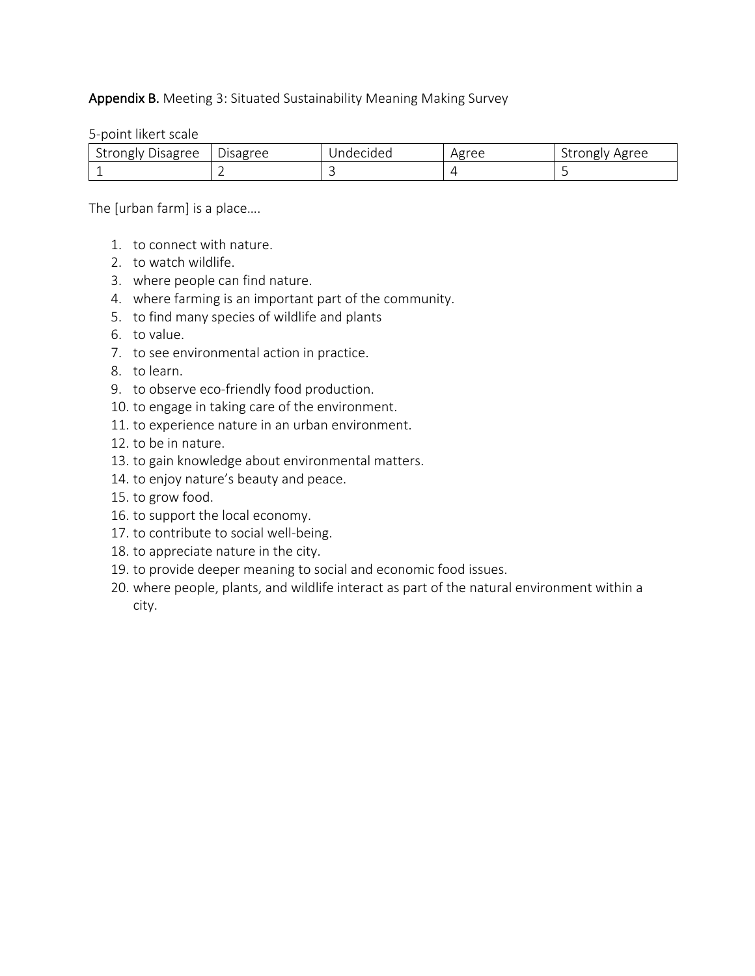#### Appendix B. Meeting 3: Situated Sustainability Meaning Making Survey

5-point likert scale

| Strongly Disagree | Disagree | Indecided | <b>σree</b><br>ΗX | Agree |
|-------------------|----------|-----------|-------------------|-------|
|                   |          |           |                   |       |

The [urban farm] is a place….

- 1. to connect with nature.
- 2. to watch wildlife.
- 3. where people can find nature.
- 4. where farming is an important part of the community.
- 5. to find many species of wildlife and plants
- 6. to value.
- 7. to see environmental action in practice.
- 8. to learn.
- 9. to observe eco-friendly food production.
- 10. to engage in taking care of the environment.
- 11. to experience nature in an urban environment.
- 12. to be in nature.
- 13. to gain knowledge about environmental matters.
- 14. to enjoy nature's beauty and peace.
- 15. to grow food.
- 16. to support the local economy.
- 17. to contribute to social well-being.
- 18. to appreciate nature in the city.
- 19. to provide deeper meaning to social and economic food issues.
- 20. where people, plants, and wildlife interact as part of the natural environment within a city.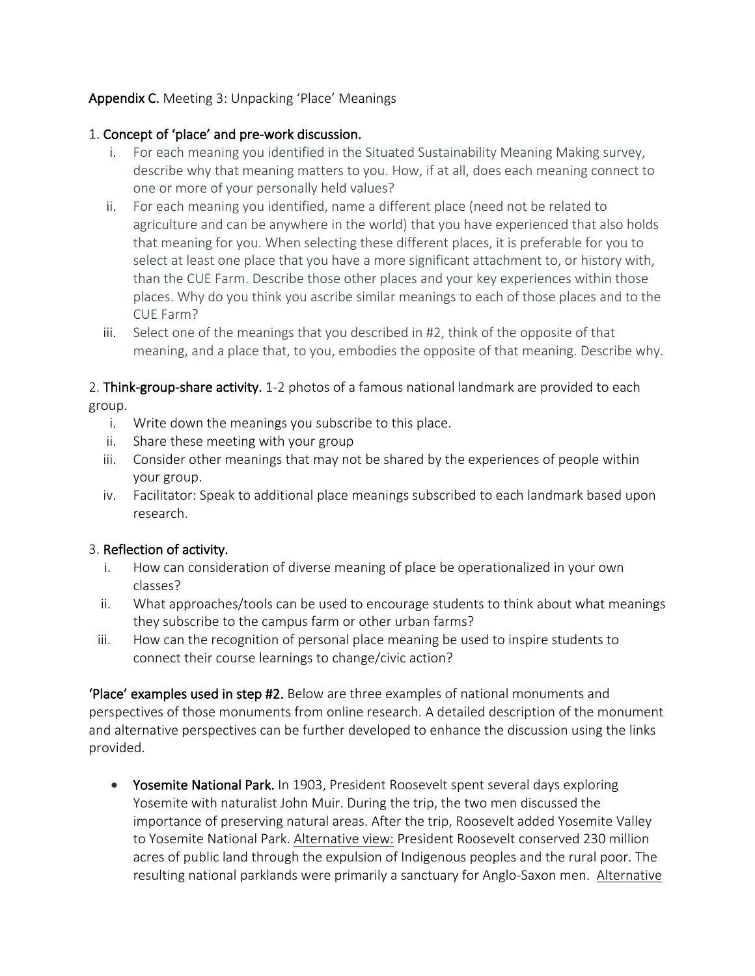## Appendix C. Meeting 3: Unpacking 'Place' Meanings

## 1. Concept of 'place' and pre-work discussion.

- i. For each meaning you identified in the Situated Sustainability Meaning Making survey, describe why that meaning matters to you. How, if at all, does each meaning connect to one or more of your personally held values?
- ii. For each meaning you identified, name a different place (need not be related to agriculture and can be anywhere in the world) that you have experienced that also holds that meaning for you. When selecting these different places, it is preferable for you to select at least one place that you have a more significant attachment to, or history with, than the CUE Farm. Describe those other places and your key experiences within those places. Why do you think you ascribe similar meanings to each of those places and to the CUE Farm?
- iii. Select one of the meanings that you described in #2, think of the opposite of that meaning, and a place that, to you, embodies the opposite of that meaning. Describe why.

2. Think-group-share activity. 1-2 photos of a famous national landmark are provided to each group.

- i. Write down the meanings you subscribe to this place.
- ii. Share these meeting with your group
- iii. Consider other meanings that may not be shared by the experiences of people within your group.
- iv. Facilitator: Speak to additional place meanings subscribed to each landmark based upon research.

## 3. Reflection of activity.

- i. How can consideration of diverse meaning of place be operationalized in your own classes?
- ii. What approaches/tools can be used to encourage students to think about what meanings they subscribe to the campus farm or other urban farms?
- iii. How can the recognition of personal place meaning be used to inspire students to connect their course learnings to change/civic action?

'Place' examples used in step #2. Below are three examples of national monuments and perspectives of those monuments from online research. A detailed description of the monument and alternative perspectives can be further developed to enhance the discussion using the links provided.

• Yosemite National Park. In 1903, President Roosevelt spent several days exploring Yosemite with naturalist John Muir. During the trip, the two men discussed the importance of preserving natural areas. After the trip, Roosevelt added Yosemite Valley to Yosemite National Park. Alternative view: President Roosevelt conserved 230 million acres of public land through the expulsion of Indigenous peoples and the rural poor. The resulting national parklands were primarily a sanctuary for Anglo-Saxon men. Alternative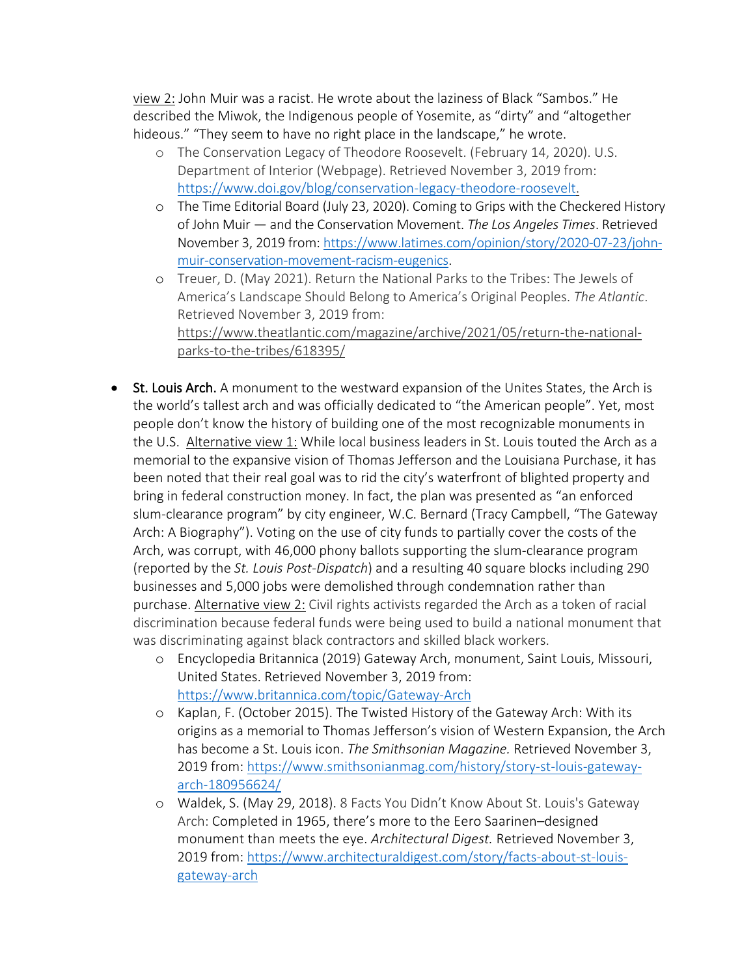view 2: John Muir was a racist. He wrote about the laziness of Black "Sambos." He described the Miwok, the Indigenous people of Yosemite, as "dirty" and "altogether hideous." "They seem to have no right place in the landscape," he wrote.

- o The Conservation Legacy of Theodore Roosevelt. (February 14, 2020). U.S. Department of Interior (Webpage). Retrieved November 3, 2019 from: https://www.doi.gov/blog/conservation-legacy-theodore-roosevelt.
- o The Time Editorial Board (July 23, 2020). Coming to Grips with the Checkered History of John Muir — and the Conservation Movement. *The Los Angeles Times*. Retrieved November 3, 2019 from: https://www.latimes.com/opinion/story/2020-07-23/johnmuir-conservation-movement-racism-eugenics.
- o Treuer, D. (May 2021). Return the National Parks to the Tribes: The Jewels of America's Landscape Should Belong to America's Original Peoples. *The Atlantic*. Retrieved November 3, 2019 from: https://www.theatlantic.com/magazine/archive/2021/05/return-the-nationalparks-to-the-tribes/618395/
- St. Louis Arch. A monument to the westward expansion of the Unites States, the Arch is the world's tallest arch and was officially dedicated to "the American people". Yet, most people don't know the history of building one of the most recognizable monuments in the U.S. Alternative view 1: While local business leaders in St. Louis touted the Arch as a memorial to the expansive vision of Thomas Jefferson and the Louisiana Purchase, it has been noted that their real goal was to rid the city's waterfront of blighted property and bring in federal construction money. In fact, the plan was presented as "an enforced slum-clearance program" by city engineer, W.C. Bernard (Tracy Campbell, "The Gateway Arch: A Biography"). Voting on the use of city funds to partially cover the costs of the Arch, was corrupt, with 46,000 phony ballots supporting the slum-clearance program (reported by the *St. Louis Post-Dispatch*) and a resulting 40 square blocks including 290 businesses and 5,000 jobs were demolished through condemnation rather than purchase. Alternative view 2: Civil rights activists regarded the Arch as a token of racial discrimination because federal funds were being used to build a national monument that was discriminating against black contractors and skilled black workers.
	- o Encyclopedia Britannica (2019) Gateway Arch, monument, Saint Louis, Missouri, United States. Retrieved November 3, 2019 from: https://www.britannica.com/topic/Gateway-Arch
	- o Kaplan, F. (October 2015). The Twisted History of the Gateway Arch: With its origins as a memorial to Thomas Jefferson's vision of Western Expansion, the Arch has become a St. Louis icon. *The Smithsonian Magazine.* Retrieved November 3, 2019 from: https://www.smithsonianmag.com/history/story-st-louis-gatewayarch-180956624/
	- o Waldek, S. (May 29, 2018). 8 Facts You Didn't Know About St. Louis's Gateway Arch: Completed in 1965, there's more to the Eero Saarinen–designed monument than meets the eye. *Architectural Digest.* Retrieved November 3, 2019 from: https://www.architecturaldigest.com/story/facts-about-st-louisgateway-arch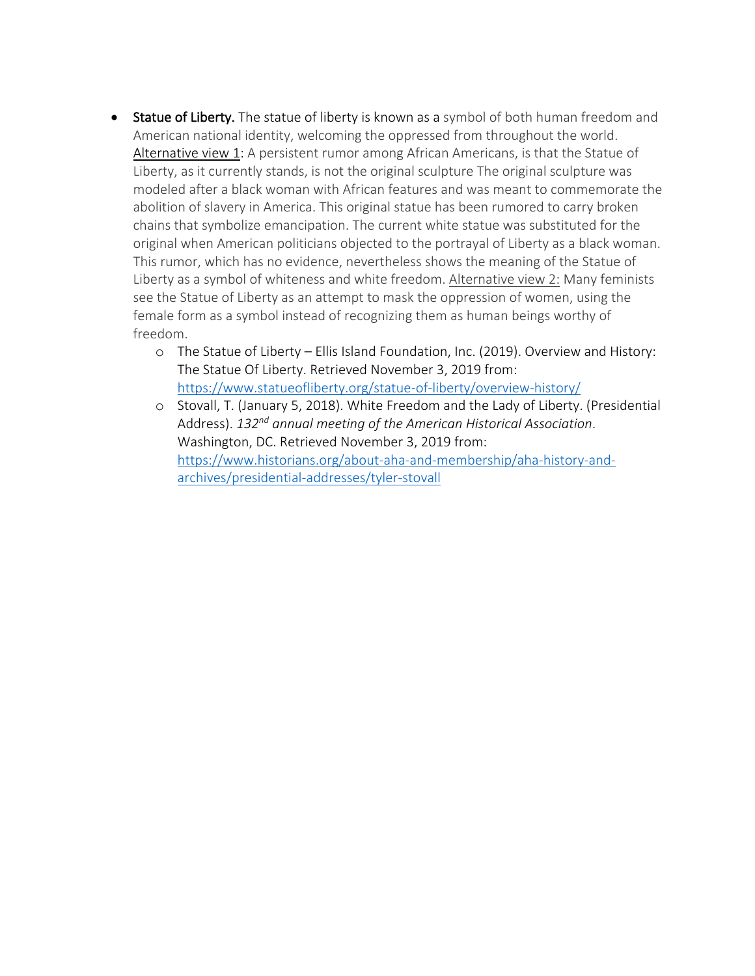- Statue of Liberty. The statue of liberty is known as a symbol of both human freedom and American national identity, welcoming the oppressed from throughout the world. Alternative view 1: A persistent rumor among African Americans, is that the Statue of Liberty, as it currently stands, is not the original sculpture The original sculpture was modeled after a black woman with African features and was meant to commemorate the abolition of slavery in America. This original statue has been rumored to carry broken chains that symbolize emancipation. The current white statue was substituted for the original when American politicians objected to the portrayal of Liberty as a black woman. This rumor, which has no evidence, nevertheless shows the meaning of the Statue of Liberty as a symbol of whiteness and white freedom. Alternative view 2: Many feminists see the Statue of Liberty as an attempt to mask the oppression of women, using the female form as a symbol instead of recognizing them as human beings worthy of freedom.
	- o The Statue of Liberty Ellis Island Foundation, Inc. (2019). Overview and History: The Statue Of Liberty. Retrieved November 3, 2019 from: https://www.statueofliberty.org/statue-of-liberty/overview-history/
	- o Stovall, T. (January 5, 2018). White Freedom and the Lady of Liberty. (Presidential Address). *132nd annual meeting of the American Historical Association*. Washington, DC. Retrieved November 3, 2019 from: https://www.historians.org/about-aha-and-membership/aha-history-andarchives/presidential-addresses/tyler-stovall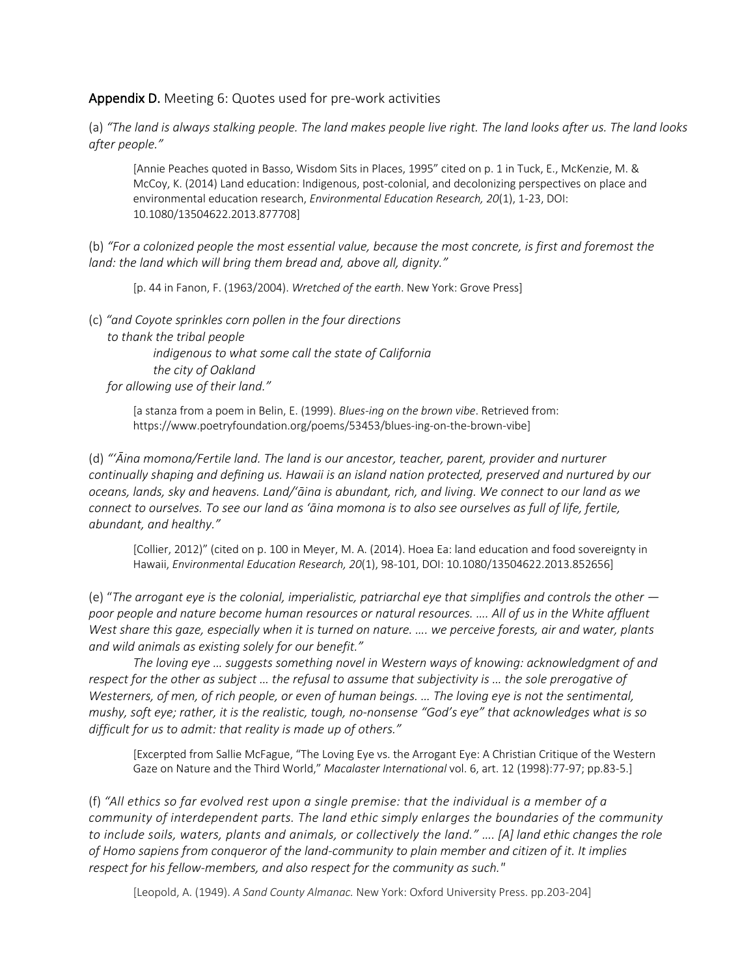#### Appendix D. Meeting 6: Quotes used for pre-work activities

(a) *"The land is always stalking people. The land makes people live right. The land looks after us. The land looks after people."*

[Annie Peaches quoted in Basso, Wisdom Sits in Places, 1995" cited on p. 1 in Tuck, E., McKenzie, M. & McCoy, K. (2014) Land education: Indigenous, post-colonial, and decolonizing perspectives on place and environmental education research, *Environmental Education Research, 20*(1), 1-23, DOI: 10.1080/13504622.2013.877708]

(b) *"For a colonized people the most essential value, because the most concrete, is first and foremost the land: the land which will bring them bread and, above all, dignity."* 

[p. 44 in Fanon, F. (1963/2004). *Wretched of the earth*. New York: Grove Press]

(c) *"and Coyote sprinkles corn pollen in the four directions to thank the tribal people indigenous to what some call the state of California the city of Oakland for allowing use of their land."* 

> [a stanza from a poem in Belin, E. (1999). *Blues-ing on the brown vibe*. Retrieved from: https://www.poetryfoundation.org/poems/53453/blues-ing-on-the-brown-vibe]

(d) *"ʻĀina momona/Fertile land. The land is our ancestor, teacher, parent, provider and nurturer continually shaping and defining us. Hawaii is an island nation protected, preserved and nurtured by our oceans, lands, sky and heavens. Land/ʻāina is abundant, rich, and living. We connect to our land as we connect to ourselves. To see our land as ʻāina momona is to also see ourselves as full of life, fertile, abundant, and healthy."*

[Collier, 2012)" (cited on p. 100 in Meyer, M. A. (2014). Hoea Ea: land education and food sovereignty in Hawaii, *Environmental Education Research, 20*(1), 98-101, DOI: 10.1080/13504622.2013.852656]

(e) "*The arrogant eye is the colonial, imperialistic, patriarchal eye that simplifies and controls the other poor people and nature become human resources or natural resources. …. All of us in the White affluent West share this gaze, especially when it is turned on nature. …. we perceive forests, air and water, plants and wild animals as existing solely for our benefit."*

*The loving eye … suggests something novel in Western ways of knowing: acknowledgment of and respect for the other as subject … the refusal to assume that subjectivity is … the sole prerogative of Westerners, of men, of rich people, or even of human beings. … The loving eye is not the sentimental, mushy, soft eye; rather, it is the realistic, tough, no-nonsense "God's eye" that acknowledges what is so difficult for us to admit: that reality is made up of others."*

[Excerpted from Sallie McFague, "The Loving Eye vs. the Arrogant Eye: A Christian Critique of the Western Gaze on Nature and the Third World," *Macalaster International* vol. 6, art. 12 (1998):77-97; pp.83-5.]

(f) *"All ethics so far evolved rest upon a single premise: that the individual is a member of a community of interdependent parts. The land ethic simply enlarges the boundaries of the community to include soils, waters, plants and animals, or collectively the land." …. [A] land ethic changes the role of Homo sapiens from conqueror of the land-community to plain member and citizen of it. It implies respect for his fellow-members, and also respect for the community as such."* 

[Leopold, A. (1949). *A Sand County Almanac.* New York: Oxford University Press. pp.203-204]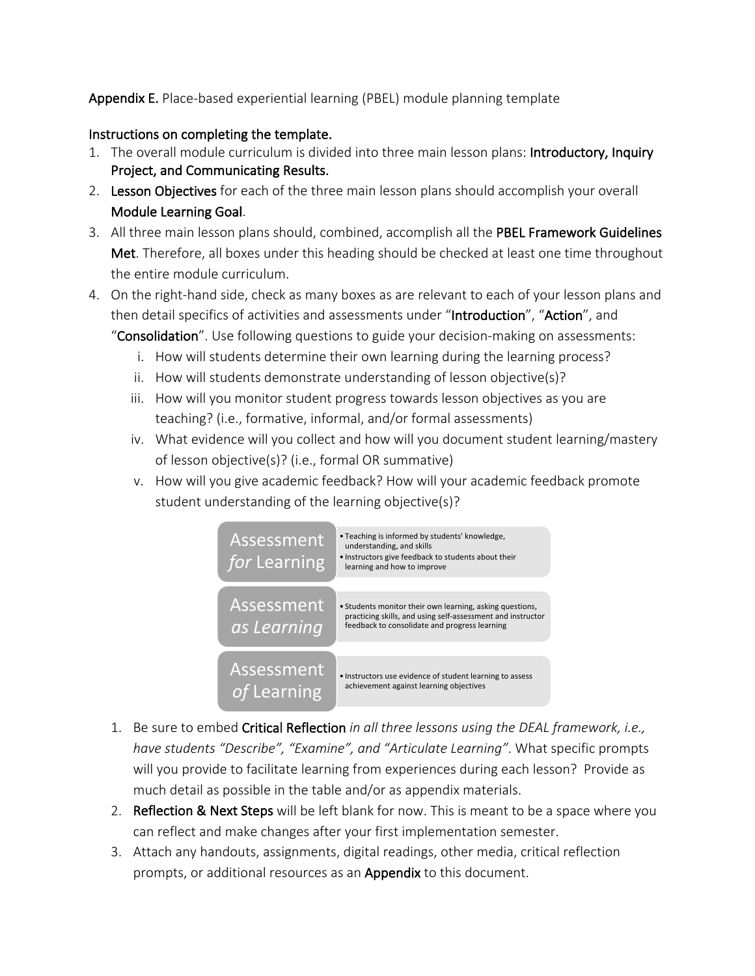## Appendix E. Place-based experiential learning (PBEL) module planning template

#### Instructions on completing the template.

- 1. The overall module curriculum is divided into three main lesson plans: Introductory, Inquiry Project, and Communicating Results.
- 2. Lesson Objectives for each of the three main lesson plans should accomplish your overall Module Learning Goal.
- 3. All three main lesson plans should, combined, accomplish all the PBEL Framework Guidelines Met. Therefore, all boxes under this heading should be checked at least one time throughout the entire module curriculum.
- 4. On the right-hand side, check as many boxes as are relevant to each of your lesson plans and then detail specifics of activities and assessments under "Introduction", "Action", and

"Consolidation". Use following questions to guide your decision-making on assessments:

- i. How will students determine their own learning during the learning process?
- ii. How will students demonstrate understanding of lesson objective(s)?
- iii. How will you monitor student progress towards lesson objectives as you are teaching? (i.e., formative, informal, and/or formal assessments)
- iv. What evidence will you collect and how will you document student learning/mastery of lesson objective(s)? (i.e., formal OR summative)
- v. How will you give academic feedback? How will your academic feedback promote student understanding of the learning objective(s)?



- 1. Be sure to embed Critical Reflection *in all three lessons using the DEAL framework, i.e., have students "Describe", "Examine", and "Articulate Learning"*. What specific prompts will you provide to facilitate learning from experiences during each lesson? Provide as much detail as possible in the table and/or as appendix materials.
- 2. Reflection & Next Steps will be left blank for now. This is meant to be a space where you can reflect and make changes after your first implementation semester.
- 3. Attach any handouts, assignments, digital readings, other media, critical reflection prompts, or additional resources as an **Appendix** to this document.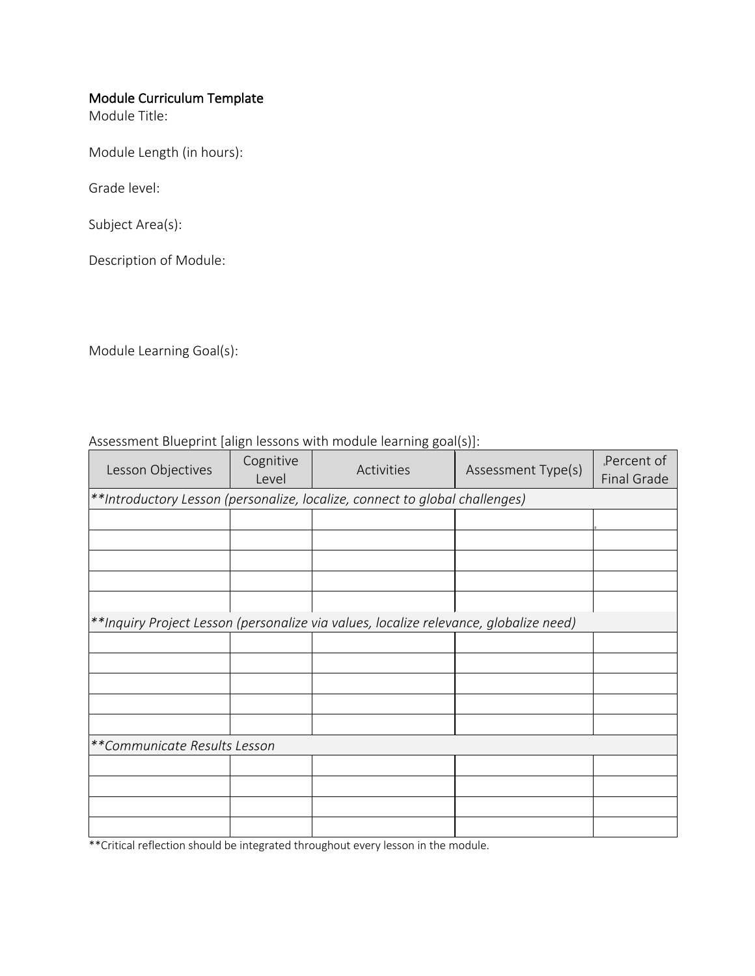## Module Curriculum Template

Module Title:

Module Length (in hours):

Grade level:

Subject Area(s):

Description of Module:

Module Learning Goal(s):

| Assessment Blueprint [align lessons with module learning goal(s)]: |  |  |
|--------------------------------------------------------------------|--|--|
|                                                                    |  |  |

| Lesson Objectives | Cognitive<br>Level                                                          | Activities                                                                            | Assessment Type(s) | Percent of<br>Final Grade |  |  |  |  |
|-------------------|-----------------------------------------------------------------------------|---------------------------------------------------------------------------------------|--------------------|---------------------------|--|--|--|--|
|                   | **Introductory Lesson (personalize, localize, connect to global challenges) |                                                                                       |                    |                           |  |  |  |  |
|                   |                                                                             |                                                                                       |                    |                           |  |  |  |  |
|                   |                                                                             |                                                                                       |                    |                           |  |  |  |  |
|                   |                                                                             |                                                                                       |                    |                           |  |  |  |  |
|                   |                                                                             |                                                                                       |                    |                           |  |  |  |  |
|                   |                                                                             |                                                                                       |                    |                           |  |  |  |  |
|                   |                                                                             | **Inquiry Project Lesson (personalize via values, localize relevance, globalize need) |                    |                           |  |  |  |  |
|                   |                                                                             |                                                                                       |                    |                           |  |  |  |  |
|                   |                                                                             |                                                                                       |                    |                           |  |  |  |  |
|                   |                                                                             |                                                                                       |                    |                           |  |  |  |  |
|                   |                                                                             |                                                                                       |                    |                           |  |  |  |  |
|                   |                                                                             |                                                                                       |                    |                           |  |  |  |  |
|                   | **Communicate Results Lesson                                                |                                                                                       |                    |                           |  |  |  |  |
|                   |                                                                             |                                                                                       |                    |                           |  |  |  |  |
|                   |                                                                             |                                                                                       |                    |                           |  |  |  |  |
|                   |                                                                             |                                                                                       |                    |                           |  |  |  |  |
|                   |                                                                             |                                                                                       |                    |                           |  |  |  |  |

\*\*Critical reflection should be integrated throughout every lesson in the module.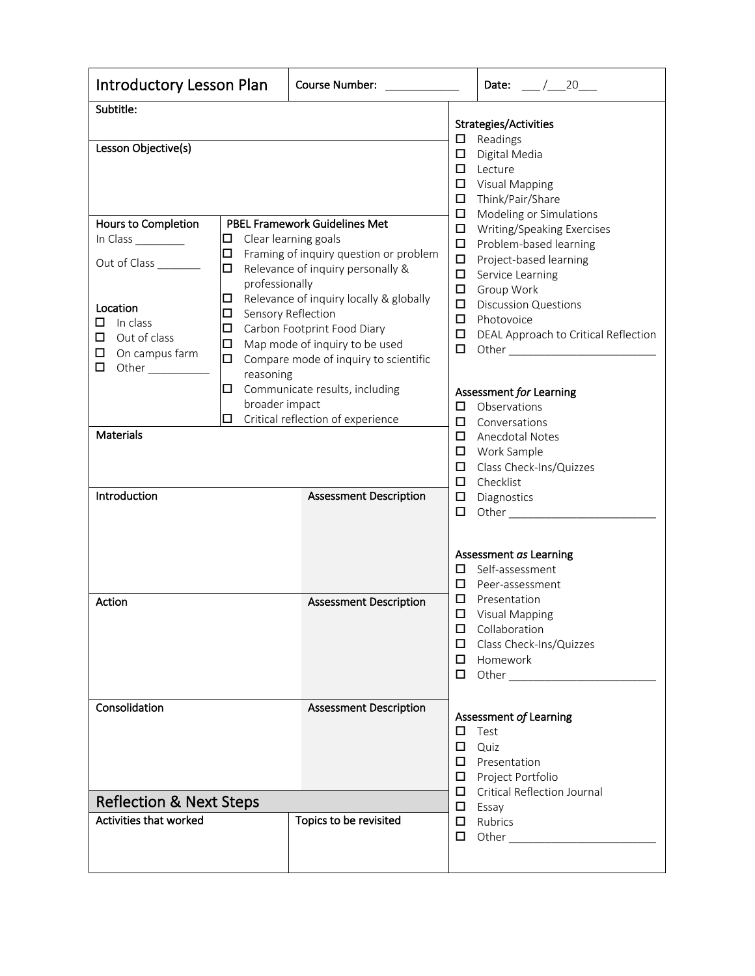| <b>Introductory Lesson Plan</b>                                                                                                                              |                                                                                                                                                                                                                                                                                                                                                                                                                                       | <b>Course Number:</b>                                                      |                                                                                   | Date: $\frac{1}{20}$                                                                                                                                                                                                                                                                                                             |
|--------------------------------------------------------------------------------------------------------------------------------------------------------------|---------------------------------------------------------------------------------------------------------------------------------------------------------------------------------------------------------------------------------------------------------------------------------------------------------------------------------------------------------------------------------------------------------------------------------------|----------------------------------------------------------------------------|-----------------------------------------------------------------------------------|----------------------------------------------------------------------------------------------------------------------------------------------------------------------------------------------------------------------------------------------------------------------------------------------------------------------------------|
| Subtitle:                                                                                                                                                    |                                                                                                                                                                                                                                                                                                                                                                                                                                       |                                                                            |                                                                                   | Strategies/Activities                                                                                                                                                                                                                                                                                                            |
| Lesson Objective(s)                                                                                                                                          |                                                                                                                                                                                                                                                                                                                                                                                                                                       | $\Box$<br>$\Box$<br>$\Box$<br>$\Box$<br>$\Box$                             | Readings<br>Digital Media<br>Lecture<br><b>Visual Mapping</b><br>Think/Pair/Share |                                                                                                                                                                                                                                                                                                                                  |
| Hours to Completion<br>In Class<br>Out of Class ________<br>Location<br>In class<br>□<br>Out of class<br>□<br>On campus farm<br>$\Box$<br>0.<br>Other $\_\_$ | <b>PBEL Framework Guidelines Met</b><br>Clear learning goals<br>$\Box$<br>$\Box$<br>Framing of inquiry question or problem<br>Relevance of inquiry personally &<br>$\Box$<br>professionally<br>$\Box$<br>Relevance of inquiry locally & globally<br>$\Box$<br>Sensory Reflection<br>$\Box$<br>Carbon Footprint Food Diary<br>$\Box$<br>Map mode of inquiry to be used<br>$\Box$<br>Compare mode of inquiry to scientific<br>reasoning |                                                                            |                                                                                   | Modeling or Simulations<br>Writing/Speaking Exercises<br>Problem-based learning<br>Project-based learning<br>Service Learning<br>Group Work<br><b>Discussion Questions</b><br>Photovoice<br>DEAL Approach to Critical Reflection                                                                                                 |
| <b>Materials</b>                                                                                                                                             | $\Box$<br>broader impact                                                                                                                                                                                                                                                                                                                                                                                                              | Communicate results, including<br>$\Box$ Critical reflection of experience | □<br>$\Box$<br>$\Box$                                                             | Assessment for Learning<br>Observations<br>Conversations<br><b>Anecdotal Notes</b>                                                                                                                                                                                                                                               |
|                                                                                                                                                              |                                                                                                                                                                                                                                                                                                                                                                                                                                       |                                                                            | $\Box$<br>$\Box$<br>$\Box$                                                        | Work Sample<br>Class Check-Ins/Quizzes<br>Checklist                                                                                                                                                                                                                                                                              |
| Introduction                                                                                                                                                 |                                                                                                                                                                                                                                                                                                                                                                                                                                       | <b>Assessment Description</b>                                              | □<br>$\Box$                                                                       | Diagnostics<br>Other and the control of the control of the control of the control of the control of the control of the control of the control of the control of the control of the control of the control of the control of the control of the                                                                                   |
|                                                                                                                                                              |                                                                                                                                                                                                                                                                                                                                                                                                                                       |                                                                            | □<br>□                                                                            | Assessment as Learning<br>Self-assessment<br>Peer-assessment                                                                                                                                                                                                                                                                     |
| Action                                                                                                                                                       |                                                                                                                                                                                                                                                                                                                                                                                                                                       | <b>Assessment Description</b>                                              | □<br>□<br>□<br>$\Box$<br>□<br>0                                                   | Presentation<br><b>Visual Mapping</b><br>Collaboration<br>Class Check-Ins/Quizzes<br>Homework<br>Other and the control of the control of the control of the control of the control of the control of the control of the control of the control of the control of the control of the control of the control of the control of the |
| Consolidation                                                                                                                                                |                                                                                                                                                                                                                                                                                                                                                                                                                                       | <b>Assessment Description</b>                                              | □<br>$\Box$<br>0.<br>0                                                            | Assessment of Learning<br>Test<br>Quiz<br>Presentation<br>Project Portfolio                                                                                                                                                                                                                                                      |
| <b>Reflection &amp; Next Steps</b>                                                                                                                           |                                                                                                                                                                                                                                                                                                                                                                                                                                       |                                                                            | 0.<br>$\Box$                                                                      | <b>Critical Reflection Journal</b><br>Essay                                                                                                                                                                                                                                                                                      |
| Activities that worked                                                                                                                                       |                                                                                                                                                                                                                                                                                                                                                                                                                                       | Topics to be revisited                                                     | 0.<br>$\Box$                                                                      | Rubrics                                                                                                                                                                                                                                                                                                                          |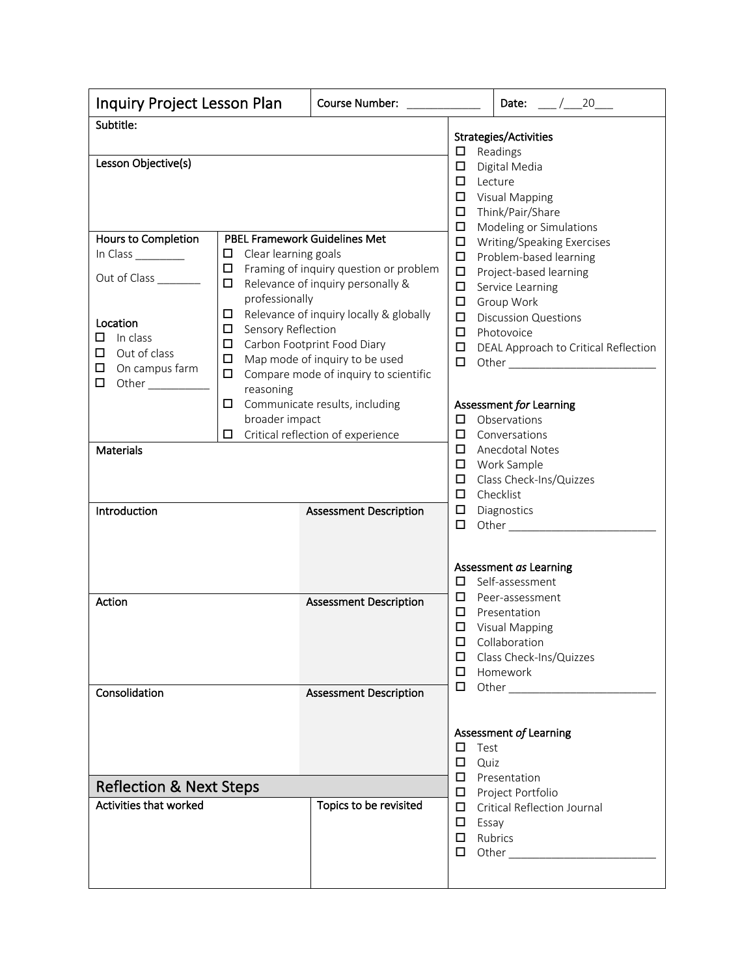| Inquiry Project Lesson Plan                                                                                | Course Number: North States and States                                                                                                                                                                                                                                                                                                                          |                                                                            | Date: $\frac{1}{20}$                       |                                                                                                                                                                    |  |  |  |
|------------------------------------------------------------------------------------------------------------|-----------------------------------------------------------------------------------------------------------------------------------------------------------------------------------------------------------------------------------------------------------------------------------------------------------------------------------------------------------------|----------------------------------------------------------------------------|--------------------------------------------|--------------------------------------------------------------------------------------------------------------------------------------------------------------------|--|--|--|
| Subtitle:<br>Lesson Objective(s)                                                                           |                                                                                                                                                                                                                                                                                                                                                                 |                                                                            | □<br>$\Box$                                | Strategies/Activities<br>Readings<br>Digital Media                                                                                                                 |  |  |  |
| PBEL Framework Guidelines Met<br>Hours to Completion                                                       |                                                                                                                                                                                                                                                                                                                                                                 |                                                                            |                                            | $\Box$<br>Lecture<br>$\Box$<br><b>Visual Mapping</b><br>$\Box$<br>Think/Pair/Share<br>$\Box$<br>Modeling or Simulations                                            |  |  |  |
| In Class __________<br>Out of Class ________                                                               | Clear learning goals<br>$\Box$<br>Framing of inquiry question or problem<br>□<br>Relevance of inquiry personally &<br>□<br>professionally<br>Relevance of inquiry locally & globally<br>□<br>Sensory Reflection<br>$\Box$<br>□<br>Carbon Footprint Food Diary<br>Map mode of inquiry to be used<br>□<br>Compare mode of inquiry to scientific<br>□<br>reasoning |                                                                            |                                            | $\Box$<br>Writing/Speaking Exercises<br>$\Box$<br>Problem-based learning<br>$\Box$<br>Project-based learning<br>$\Box$<br>Service Learning<br>$\Box$<br>Group Work |  |  |  |
| Location<br>$\Box$ In class<br>□<br>Out of class<br>$\Box$ On campus farm<br>$\Box$<br>Other _____________ |                                                                                                                                                                                                                                                                                                                                                                 |                                                                            |                                            | $\Box$<br><b>Discussion Questions</b><br>$\Box$<br>Photovoice<br>$\Box$<br>DEAL Approach to Critical Reflection<br>$\Box$                                          |  |  |  |
|                                                                                                            | $\Box$<br>broader impact                                                                                                                                                                                                                                                                                                                                        | Communicate results, including<br>$\Box$ Critical reflection of experience | $\Box$<br>$\Box$                           | Assessment for Learning<br>Observations<br>Conversations                                                                                                           |  |  |  |
| <b>Materials</b>                                                                                           |                                                                                                                                                                                                                                                                                                                                                                 |                                                                            | $\Box$<br>$\Box$<br>$\Box$<br>$\Box$       | Anecdotal Notes<br>Work Sample<br>Class Check-Ins/Quizzes<br>Checklist                                                                                             |  |  |  |
| Introduction                                                                                               |                                                                                                                                                                                                                                                                                                                                                                 | <b>Assessment Description</b>                                              | $\Box$<br>$\Box$                           | Diagnostics<br>Assessment as Learning                                                                                                                              |  |  |  |
| Action                                                                                                     |                                                                                                                                                                                                                                                                                                                                                                 | <b>Assessment Description</b>                                              | 0<br>0<br>$\Box$<br>$\Box$                 | Self-assessment<br>Peer-assessment<br>Presentation<br>$\Box$ Visual Mapping<br>$\Box$ Collaboration<br>□ Class Check-Ins/Quizzes<br>Homework                       |  |  |  |
| Consolidation                                                                                              |                                                                                                                                                                                                                                                                                                                                                                 | <b>Assessment Description</b>                                              | $\Box$                                     |                                                                                                                                                                    |  |  |  |
|                                                                                                            |                                                                                                                                                                                                                                                                                                                                                                 |                                                                            | $\Box$<br>Test<br>$\Box$<br>Quiz<br>$\Box$ | Assessment of Learning<br>Presentation                                                                                                                             |  |  |  |
| <b>Reflection &amp; Next Steps</b>                                                                         |                                                                                                                                                                                                                                                                                                                                                                 |                                                                            | $\Box$                                     | Project Portfolio                                                                                                                                                  |  |  |  |
| Activities that worked                                                                                     |                                                                                                                                                                                                                                                                                                                                                                 | Topics to be revisited                                                     | $\Box$<br>$\Box$ Essay<br>$\Box$<br>□      | <b>Critical Reflection Journal</b><br>Rubrics                                                                                                                      |  |  |  |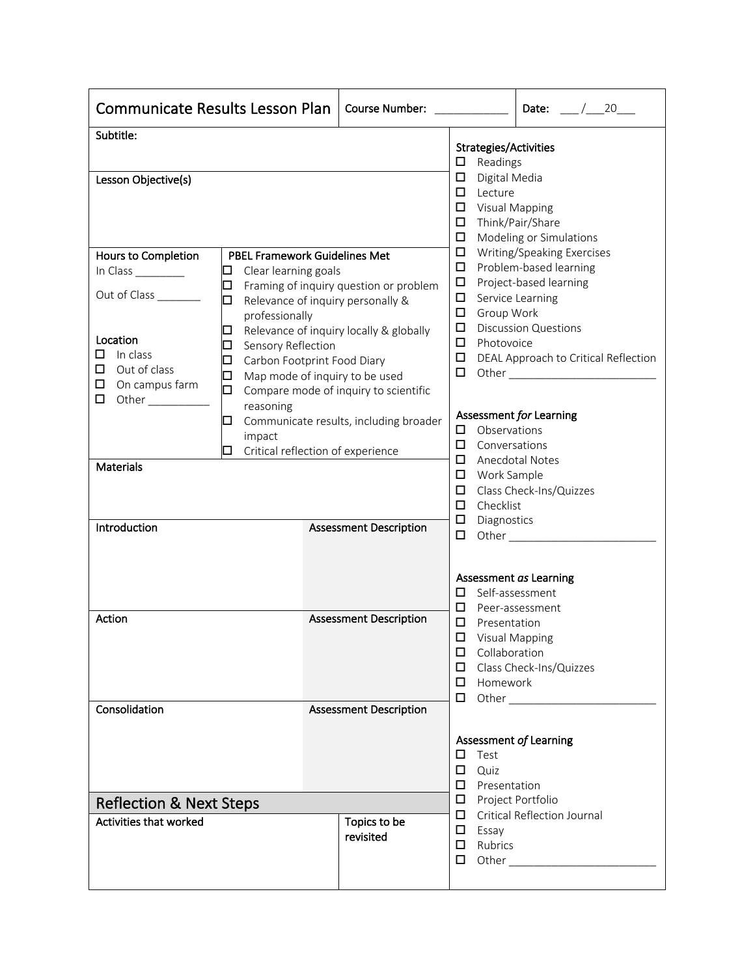| <b>Communicate Results Lesson Plan</b><br>Course Number:                                                                                                                      |                                                                                                                                                                                                                                                                                                                                          |                               |                                                                                                                                                                                                                                                                                                                                                                                             | Date: $/20$                                                                                                                                                                                                                                                    |
|-------------------------------------------------------------------------------------------------------------------------------------------------------------------------------|------------------------------------------------------------------------------------------------------------------------------------------------------------------------------------------------------------------------------------------------------------------------------------------------------------------------------------------|-------------------------------|---------------------------------------------------------------------------------------------------------------------------------------------------------------------------------------------------------------------------------------------------------------------------------------------------------------------------------------------------------------------------------------------|----------------------------------------------------------------------------------------------------------------------------------------------------------------------------------------------------------------------------------------------------------------|
| Subtitle:<br>Lesson Objective(s)<br>Hours to Completion                                                                                                                       |                                                                                                                                                                                                                                                                                                                                          |                               | Strategies/Activities<br>$\Box$<br>Readings<br>$\Box$<br>Digital Media<br>□<br>Lecture<br>$\Box$<br><b>Visual Mapping</b><br>$\Box$<br>□<br>$\Box$                                                                                                                                                                                                                                          | Think/Pair/Share<br>Modeling or Simulations<br>Writing/Speaking Exercises                                                                                                                                                                                      |
| In Class<br>0<br>□<br>Out of Class<br>□<br>⊔<br>Location<br>$\Box$<br>In class<br>□<br>□<br>$\Box$ Out of class<br>⊔<br>$\Box$ On campus farm<br>◻<br>□<br>Other<br>reasoning | <b>PBEL Framework Guidelines Met</b><br>Clear learning goals<br>Framing of inquiry question or problem<br>Relevance of inquiry personally &<br>professionally<br>Relevance of inquiry locally & globally<br>Sensory Reflection<br>Carbon Footprint Food Diary<br>Map mode of inquiry to be used<br>Compare mode of inquiry to scientific |                               |                                                                                                                                                                                                                                                                                                                                                                                             | Problem-based learning<br>Project-based learning<br>Service Learning<br>Group Work<br><b>Discussion Questions</b><br>Photovoice<br>DEAL Approach to Critical Reflection                                                                                        |
| ⊔<br>impact<br>ப<br><b>Materials</b>                                                                                                                                          | Communicate results, including broader<br>Critical reflection of experience                                                                                                                                                                                                                                                              |                               | Assessment for Learning<br>Observations<br>□<br>□<br>Conversations<br>□<br>Anecdotal Notes<br>Work Sample<br>$\Box$<br>□<br>Checklist<br>□<br>□<br>Diagnostics                                                                                                                                                                                                                              | Class Check-Ins/Quizzes                                                                                                                                                                                                                                        |
| Introduction                                                                                                                                                                  |                                                                                                                                                                                                                                                                                                                                          | <b>Assessment Description</b> | $\Box$<br>Assessment as Learning<br>□                                                                                                                                                                                                                                                                                                                                                       | Other $\_\_$<br>Self-assessment                                                                                                                                                                                                                                |
| Action                                                                                                                                                                        |                                                                                                                                                                                                                                                                                                                                          | <b>Assessment Description</b> | □<br>Peer-assessment<br>$\Box$<br>Presentation<br>□<br><b>Visual Mapping</b><br>Collaboration<br>□<br>Class Check-Ins/Quizzes<br>□<br>Homework<br>□<br>□<br>Other and the state of the state of the state of the state of the state of the state of the state of the state of the state of the state of the state of the state of the state of the state of the state of the state of the s |                                                                                                                                                                                                                                                                |
| Consolidation                                                                                                                                                                 |                                                                                                                                                                                                                                                                                                                                          | <b>Assessment Description</b> | Assessment of Learning<br>$\Box$<br>Test<br>$\Box$<br>Quiz<br>Presentation<br>0                                                                                                                                                                                                                                                                                                             |                                                                                                                                                                                                                                                                |
| <b>Reflection &amp; Next Steps</b><br><b>Activities that worked</b>                                                                                                           |                                                                                                                                                                                                                                                                                                                                          | Topics to be<br>revisited     | Project Portfolio<br>□<br>0<br>$\Box$<br>Essay<br>Rubrics<br>□<br>□                                                                                                                                                                                                                                                                                                                         | Critical Reflection Journal<br>Other and the state of the state of the state of the state of the state of the state of the state of the state of the state of the state of the state of the state of the state of the state of the state of the state of the s |